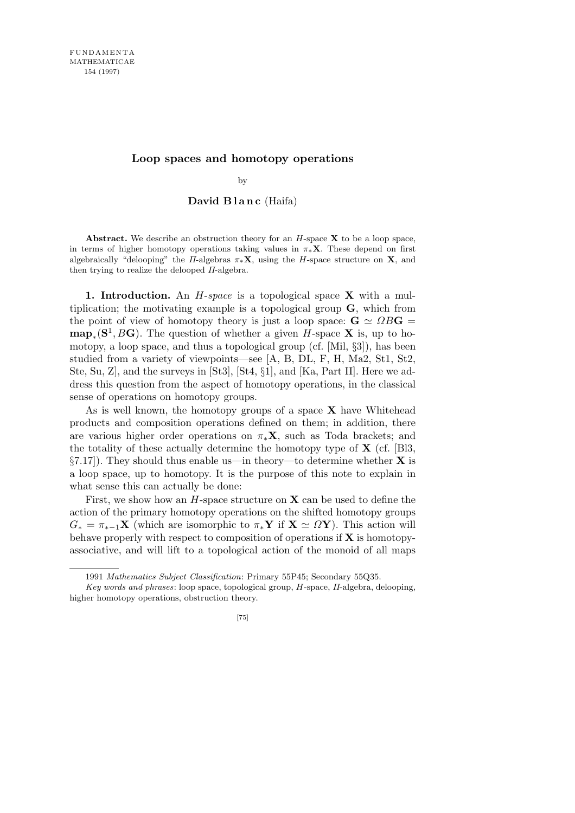## **Loop spaces and homotopy operations**

by

## David Blanc (Haifa)

**Abstract.** We describe an obstruction theory for an *H*-space **X** to be a loop space, in terms of higher homotopy operations taking values in  $\pi * X$ . These depend on first algebraically "delooping" the *Π*-algebras  $\pi_*$ **X**, using the *H*-space structure on **X**, and then trying to realize the delooped *Π*-algebra.

**1. Introduction.** An *H*-*space* is a topological space **X** with a multiplication; the motivating example is a topological group **G**, which from the point of view of homotopy theory is just a loop space:  $G \simeq \Omega BG =$  $\mathbf{map}_*(\mathbf{S}^1, B\mathbf{G})$ . The question of whether a given *H*-space **X** is, up to homotopy, a loop space, and thus a topological group (cf. [Mil, *§*3]), has been studied from a variety of viewpoints—see [A, B, DL, F, H, Ma2, St1, St2, Ste, Su, Z], and the surveys in [St3], [St4, *§*1], and [Ka, Part II]. Here we address this question from the aspect of homotopy operations, in the classical sense of operations on homotopy groups.

As is well known, the homotopy groups of a space **X** have Whitehead products and composition operations defined on them; in addition, there are various higher order operations on  $\pi_*\mathbf{X}$ , such as Toda brackets; and the totality of these actually determine the homotopy type of **X** (cf. [Bl3, *§*7.17]). They should thus enable us—in theory—to determine whether **X** is a loop space, up to homotopy. It is the purpose of this note to explain in what sense this can actually be done:

First, we show how an *H*-space structure on **X** can be used to define the action of the primary homotopy operations on the shifted homotopy groups  $G_* = \pi_{*-1} \mathbf{X}$  (which are isomorphic to  $\pi_* \mathbf{Y}$  if  $\mathbf{X} \simeq \Omega \mathbf{Y}$ ). This action will behave properly with respect to composition of operations if **X** is homotopyassociative, and will lift to a topological action of the monoid of all maps

<sup>1991</sup> *Mathematics Subject Classification*: Primary 55P45; Secondary 55Q35.

*Key words and phrases*: loop space, topological group, *H*-space, *Π*-algebra, delooping, higher homotopy operations, obstruction theory.

<sup>[75]</sup>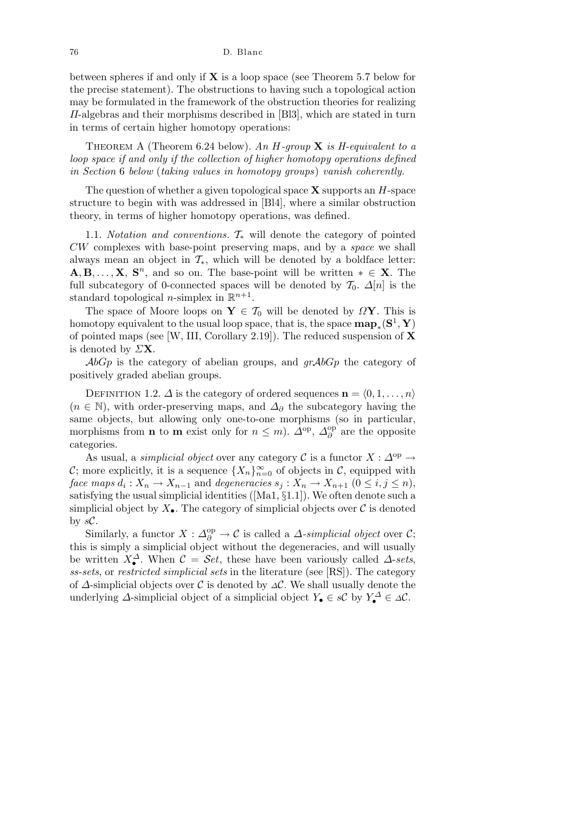between spheres if and only if **X** is a loop space (see Theorem 5.7 below for the precise statement). The obstructions to having such a topological action may be formulated in the framework of the obstruction theories for realizing *Π*-algebras and their morphisms described in [Bl3], which are stated in turn in terms of certain higher homotopy operations:

Theorem A (Theorem 6.24 below). *An H-group* **X** *is H-equivalent to a loop space if and only if the collection of higher homotopy operations defined in Section* 6 *below* (*taking values in homotopy groups*) *vanish coherently.*

The question of whether a given topological space **X** supports an *H*-space structure to begin with was addressed in [Bl4], where a similar obstruction theory, in terms of higher homotopy operations, was defined.

1.1. *Notation and conventions. T<sup>∗</sup>* will denote the category of pointed *CW* complexes with base-point preserving maps, and by a *space* we shall always mean an object in  $\mathcal{T}_{*}$ , which will be denoted by a boldface letter:  $\mathbf{A}, \mathbf{B}, \ldots, \mathbf{X}, \mathbf{S}^n$ , and so on. The base-point will be written  $* \in \mathbf{X}$ . The full subcategory of 0-connected spaces will be denoted by  $\mathcal{T}_0$ .  $\Delta[n]$  is the standard topological *n*-simplex in  $\mathbb{R}^{n+1}$ .

The space of Moore loops on  $Y \in \mathcal{T}_0$  will be denoted by  $\Omega Y$ . This is homotopy equivalent to the usual loop space, that is, the space  $\mathbf{map}_*(\mathbf{S}^1, \mathbf{Y})$ of pointed maps (see [W, III, Corollary 2.19]). The reduced suspension of **X** is denoted by *Σ***X**.

*AbGp* is the category of abelian groups, and *grAbGp* the category of positively graded abelian groups.

DEFINITION 1.2.  $\Delta$  is the category of ordered sequences  $\mathbf{n} = \langle 0, 1, \ldots, n \rangle$  $(n \in \mathbb{N})$ , with order-preserving maps, and  $\Delta_{\partial}$  the subcategory having the same objects, but allowing only one-to-one morphisms (so in particular, morphisms from **n** to **m** exist only for  $n \leq m$ ).  $\hat{\Delta}^{\text{op}}$ ,  $\hat{\Delta}^{\text{op}}_n$ *∂* are the opposite categories.

As usual, a *simplicial object* over any category  $\mathcal{C}$  is a functor  $X : \Delta^{\text{op}} \to$ *C*; more explicitly, it is a sequence  $\{X_n\}_{n=0}^{\infty}$  of objects in *C*, equipped with *face maps*  $d_i: X_n \to X_{n-1}$  and *degeneracies*  $s_j: X_n \to X_{n+1}$   $(0 \le i, j \le n)$ , satisfying the usual simplicial identities ([Ma1, *§*1.1]). We often denote such a simplicial object by  $X_{\bullet}$ . The category of simplicial objects over  $\mathcal C$  is denoted by  $sC$ .

Similarly, a functor  $X : \Delta_{\partial}^{\text{op}} \to \mathcal{C}$  is called a *∆*-*simplicial object* over  $\mathcal{C}$ ; this is simply a simplicial object without the degeneracies, and will usually be written  $X^{\Delta}_{\bullet}$ . When  $\mathcal{C} = \mathcal{S}et$ , these have been variously called  $\Delta$ -sets, *ss-sets*, or *restricted simplicial sets* in the literature (see [RS]). The category of *∆*-simplicial objects over *C* is denoted by *<sup>∆</sup>C*. We shall usually denote the underlying  $\Delta$ -simplicial object of a simplicial object  $Y_{\bullet} \in s\mathcal{C}$  by  $Y_{\bullet}^{\Delta} \in \Delta\mathcal{C}$ .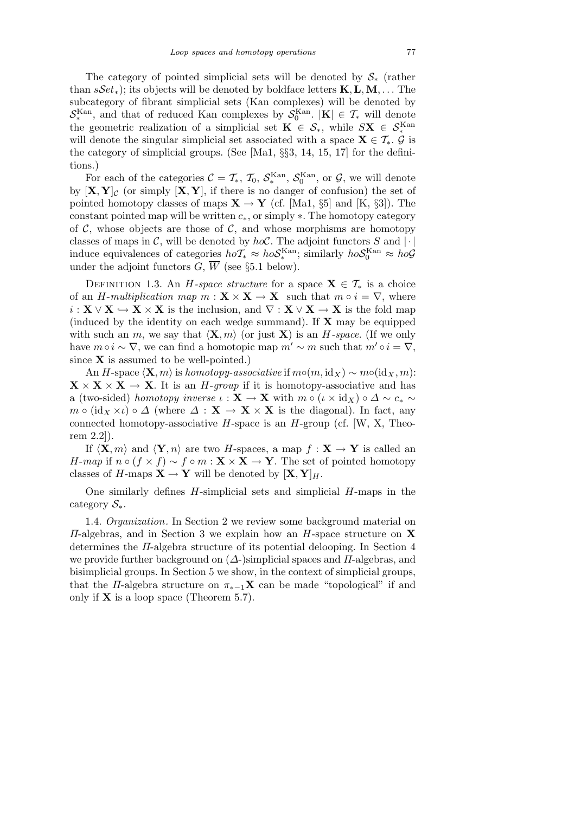The category of pointed simplicial sets will be denoted by *S<sup>∗</sup>* (rather than *sSet∗*); its objects will be denoted by boldface letters **K***,***L***,***M***, . . .* The subcategory of fibrant simplicial sets (Kan complexes) will be denoted by  $S_*^{\text{Kan}}$ , and that of reduced Kan complexes by  $S_0^{\text{Kan}}$ .  $|\mathbf{K}| \in \mathcal{T}_*$  will denote the geometric realization of a simplicial set  $\mathbf{K} \in \mathcal{S}_*$ , while  $S\mathbf{X} \in \mathcal{S}_*^{\text{Kan}}$ will denote the singular simplicial set associated with a space  $\mathbf{X} \in \mathcal{T}_{*}$ .  $\mathcal{G}$  is the category of simplicial groups. (See [Ma1, *§§*3, 14, 15, 17] for the definitions.)

For each of the categories  $C = T_*$ ,  $T_0$ ,  $S_*^{\text{Kan}}$ ,  $S_0^{\text{Kan}}$ , or  $\mathcal{G}$ , we will denote by  $[\mathbf{X}, \mathbf{Y}]_c$  (or simply  $[\mathbf{X}, \mathbf{Y}]$ , if there is no danger of confusion) the set of pointed homotopy classes of maps  $X \to Y$  (cf. [Ma1, *§*5] and [K, *§*3]). The constant pointed map will be written *c∗*, or simply *∗*. The homotopy category of  $\mathcal{C}$ , whose objects are those of  $\mathcal{C}$ , and whose morphisms are homotopy classes of maps in *C*, will be denoted by  $hoC$ . The adjoint functors *S* and  $|\cdot|$ induce equivalences of categories  $hoT_* \approx hoS_*^{\text{Kan}}$ ; similarly  $hoS_0^{\text{Kan}} \approx ho\mathcal{G}$ under the adjoint functors  $G, \overline{W}$  (see §5.1 below).

DEFINITION 1.3. An *H-space structure* for a space  $X \in \mathcal{T}_*$  is a choice of an *H*-*multiplication map*  $m : \mathbf{X} \times \mathbf{X} \to \mathbf{X}$  such that  $m \circ i = \nabla$ , where  $i: \mathbf{X} \vee \mathbf{X} \hookrightarrow \mathbf{X} \times \mathbf{X}$  is the inclusion, and  $\nabla : \mathbf{X} \vee \mathbf{X} \to \mathbf{X}$  is the fold map (induced by the identity on each wedge summand). If **X** may be equipped with such an *m*, we say that  $\langle \mathbf{X}, m \rangle$  (or just **X**) is an *H*-space. (If we only have  $m \circ i \sim \nabla$ , we can find a homotopic map  $m' \sim m$  such that  $m' \circ i = \nabla$ , since **X** is assumed to be well-pointed.)

An *H*-space  $\langle \mathbf{X}, m \rangle$  is *homotopy-associative* if  $m \circ (m, id_X) \sim m \circ (id_X, m)$ :  $\mathbf{X} \times \mathbf{X} \times \mathbf{X} \to \mathbf{X}$ . It is an *H*-*group* if it is homotopy-associative and has a (two-sided) *homotopy inverse*  $\iota : \mathbf{X} \to \mathbf{X}$  with  $m \circ (\iota \times id_X) \circ \Delta \sim c_* \sim$ *m*  $\circ$  (id<sub>X</sub>  $\times$ *l*)  $\circ$   $\Delta$  (where  $\Delta$  : **X**  $\rightarrow$  **X**  $\times$  **X** is the diagonal). In fact, any connected homotopy-associative *H*-space is an *H*-group (cf. [W, X, Theorem 2.2]).

If  $\langle \mathbf{X}, m \rangle$  and  $\langle \mathbf{Y}, n \rangle$  are two *H*-spaces, a map  $f : \mathbf{X} \to \mathbf{Y}$  is called an *H*-*map* if  $n \circ (f \times f) \sim f \circ m : \mathbf{X} \times \mathbf{X} \to \mathbf{Y}$ . The set of pointed homotopy classes of *H*-maps  $X \to Y$  will be denoted by  $[X, Y]_H$ .

One similarly defines *H*-simplicial sets and simplicial *H*-maps in the category *S∗*.

1.4. *Organization.* In Section 2 we review some background material on *Π*-algebras, and in Section 3 we explain how an *H*-space structure on **X** determines the *Π*-algebra structure of its potential delooping. In Section 4 we provide further background on (*∆*-)simplicial spaces and *Π*-algebras, and bisimplicial groups. In Section 5 we show, in the context of simplicial groups, that the *Π*-algebra structure on  $\pi_{*-1}X$  can be made "topological" if and only if **X** is a loop space (Theorem 5.7).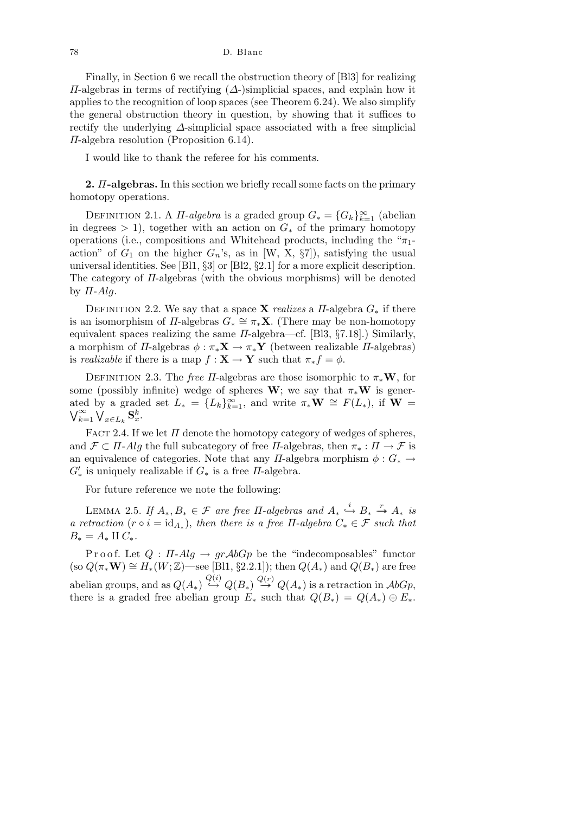Finally, in Section 6 we recall the obstruction theory of [Bl3] for realizing *Π*-algebras in terms of rectifying (*∆*-)simplicial spaces, and explain how it applies to the recognition of loop spaces (see Theorem 6.24). We also simplify the general obstruction theory in question, by showing that it suffices to rectify the underlying *∆*-simplicial space associated with a free simplicial *Π*-algebra resolution (Proposition 6.14).

I would like to thank the referee for his comments.

**2.** *Π***-algebras.** In this section we briefly recall some facts on the primary homotopy operations.

DEFINITION 2.1. A *Π-algebra* is a graded group  $G_* = \{G_k\}_{k=1}^{\infty}$  (abelian in degrees  $> 1$ ), together with an action on  $G_*$  of the primary homotopy operations (i.e., compositions and Whitehead products, including the "*π*1 action" of  $G_1$  on the higher  $G_n$ 's, as in [W, X,  $\S7$ ]), satisfying the usual universal identities. See [Bl1, *§*3] or [Bl2, *§*2.1] for a more explicit description. The category of *Π*-algebras (with the obvious morphisms) will be denoted by *Π*-*Alg*.

DEFINITION 2.2. We say that a space **X** *realizes* a *II*-algebra  $G_*$  if there is an isomorphism of *Π*-algebras  $G_* \cong \pi_* \mathbf{X}$ . (There may be non-homotopy equivalent spaces realizing the same *Π*-algebra—cf. [Bl3, *§*7.18].) Similarly, a morphism of *Π*-algebras  $\phi : \pi_*\mathbf{X} \to \pi_*\mathbf{Y}$  (between realizable *Π*-algebras) is *realizable* if there is a map  $f : \mathbf{X} \to \mathbf{Y}$  such that  $\pi_* f = \phi$ .

DEFINITION 2.3. The *free Π*-algebras are those isomorphic to  $\pi_* \mathbf{W}$ , for some (possibly infinite) wedge of spheres **W**; we say that  $\pi_*\mathbf{W}$  is generated by a graded set  $L_* = \{L_k\}_{k=1}^{\infty}$ , and write  $\pi_* \mathbf{W} \cong F(L_*)$ , if  $\mathbf{W} = \mathbf{W} \cong \mathbf{W} \times \mathbf{W}$  $\sum_{k=1}^{\infty}$   $\bigvee_{x \in L_k}$   $\mathbf{S}_x^k$ .

FACT 2.4. If we let  $\Pi$  denote the homotopy category of wedges of spheres, and  $\mathcal{F} \subset \Pi$ -*Alg* the full subcategory of free  $\Pi$ -algebras, then  $\pi_* : \Pi \to \mathcal{F}$  is an equivalence of categories. Note that any *Π*-algebra morphism  $\phi : G_* \to$  $G'_{*}$  is uniquely realizable if  $G_{*}$  is a free *Π*-algebra.

For future reference we note the following:

LEMMA 2.5. *If*  $A_*, B_* \in \mathcal{F}$  are free  $\Pi$ -algebras and  $A_* \stackrel{i}{\hookrightarrow} B_* \stackrel{r}{\twoheadrightarrow} A_*$  is *a retraction*  $(r \circ i = id_{A_*})$ , *then there is a free*  $\Pi$ -*algebra*  $C_* \in \mathcal{F}$  *such that*  $B_* = A_* \amalg C_*$ .

Proof. Let  $Q : \Pi$ -*Alg*  $\rightarrow$   $grAbGp$  be the "indecomposables" functor  $(\text{so } Q(\pi_* \mathbf{W}) \cong H_*(W; \mathbb{Z})$ —see [Bl1, §2.2.1]); then  $Q(A_*)$  and  $Q(B_*)$  are free  $Q(A_*) \overset{Q(i)}{\hookrightarrow} Q(B_*) \overset{Q(r)}{\longrightarrow} Q(A_*)$  is a retraction in  $\mathcal{A}bGp$ , there is a graded free abelian group  $E_*$  such that  $Q(B_*) = Q(A_*) \oplus E_*$ .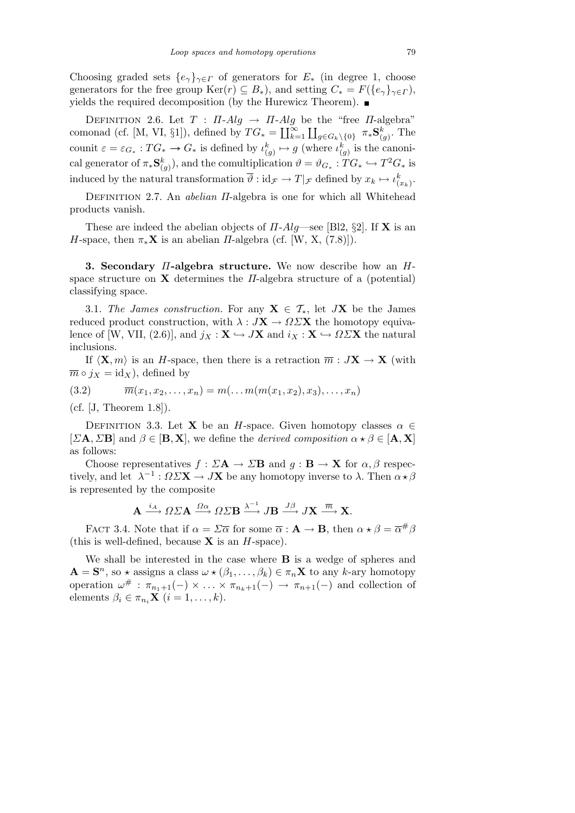Choosing graded sets  $\{e_\gamma\}_{\gamma \in \Gamma}$  of generators for  $E_*$  (in degree 1, choose generators for the free group  $\text{Ker}(r) \subseteq B_*$ ), and setting  $C_* = F({e_{\gamma}}_{\gamma \in \Gamma}),$ yields the required decomposition (by the Hurewicz Theorem).  $\blacksquare$ 

DEFINITION 2.6. Let  $T : \Pi$ -*Alg*  $\rightarrow \Pi$ -*Alg* be the "free  $\Pi$ -algebra" comonad (cf. [M, VI, §1]), defined by  $TG_* = \coprod_{k=1}^{\infty}$  $\sum_{k=1}^{\infty} \prod_{g \in G_k \setminus \{0\}} \pi_* \mathbf{S}^k_{(g)}$ . The counit  $\varepsilon = \varepsilon_{G_*}: TG_* \to G_*$  is defined by  $\iota_{(g)}^k \mapsto g$  (where  $\iota_{(g)}^k$  is the canonical generator of  $\pi_* \mathbf{S}_{(g)}^k$ , and the comultiplication  $\vartheta = \vartheta_{G_*} : T G_* \hookrightarrow T^2 G_*$  is induced by the natural transformation  $\overline{\vartheta}$  :  $\mathrm{id}_{\mathcal{F}} \to T|_{\mathcal{F}}$  defined by  $x_k \mapsto \iota_{(x_k)}^k$ .

Definition 2.7. An *abelian Π*-algebra is one for which all Whitehead products vanish.

These are indeed the abelian objects of *Π*-*Alg*—see [Bl2, *§*2]. If **X** is an *H*-space, then  $\pi_*\mathbf{X}$  is an abelian *Π*-algebra (cf. [W, X, (7.8)]).

**3. Secondary** *Π***-algebra structure.** We now describe how an *H*space structure on **X** determines the *Π*-algebra structure of a (potential) classifying space.

3.1. *The James construction.* For any  $X \in \mathcal{T}_{*}$ , let  $JX$  be the James reduced product construction, with  $\lambda : J\mathbf{X} \to \Omega \Sigma \mathbf{X}$  the homotopy equivalence of [W, VII, (2.6)], and  $j_X : \mathbf{X} \hookrightarrow J\mathbf{X}$  and  $i_X : \mathbf{X} \hookrightarrow \Omega \Sigma \mathbf{X}$  the natural inclusions.

If  $\langle \mathbf{X}, m \rangle$  is an *H*-space, then there is a retraction  $\overline{m}: J\mathbf{X} \to \mathbf{X}$  (with  $\overline{m} \circ j_X = id_X$ , defined by

(3.2) 
$$
\overline{m}(x_1, x_2,..., x_n) = m(...m(m(x_1, x_2), x_3),..., x_n)
$$

(cf. [J, Theorem 1.8]).

DEFINITION 3.3. Let **X** be an *H*-space. Given homotopy classes  $\alpha \in$  $[\Sigma \mathbf{A}, \Sigma \mathbf{B}]$  and  $\beta \in [\mathbf{B}, \mathbf{X}]$ , we define the *derived composition*  $\alpha \star \beta \in [\mathbf{A}, \mathbf{X}]$ as follows:

Choose representatives  $f : \Sigma A \to \Sigma B$  and  $g : B \to X$  for  $\alpha, \beta$  respectively, and let  $\lambda^{-1}$ :  $\Omega \Sigma \mathbf{X} \to J\mathbf{X}$  be any homotopy inverse to  $\lambda$ . Then  $\alpha \star \beta$ is represented by the composite

$$
\mathbf{A} \xrightarrow{i_A} \Omega \Sigma \mathbf{A} \xrightarrow{\Omega \alpha} \Omega \Sigma \mathbf{B} \xrightarrow{\lambda^{-1}} J\mathbf{B} \xrightarrow{J\beta} J\mathbf{X} \xrightarrow{\overline{m}} \mathbf{X}.
$$

FACT 3.4. Note that if  $\alpha = \Sigma \overline{\alpha}$  for some  $\overline{\alpha} : \mathbf{A} \to \mathbf{B}$ , then  $\alpha \star \beta = \overline{\alpha}^{\#} \beta$ (this is well-defined, because **X** is an *H*-space).

We shall be interested in the case where **B** is a wedge of spheres and  $\mathbf{A} = \mathbf{S}^n$ , so  $\star$  assigns a class  $\omega \star (\beta_1, \ldots, \beta_k) \in \pi_n \mathbf{X}$  to any *k*-ary homotopy operation  $\omega^{\#}$ :  $\pi_{n_1+1}(-) \times \ldots \times \pi_{n_k+1}(-) \to \pi_{n+1}(-)$  and collection of elements  $\beta_i \in \pi_{n_i} \mathbf{X}$   $(i = 1, \ldots, k)$ .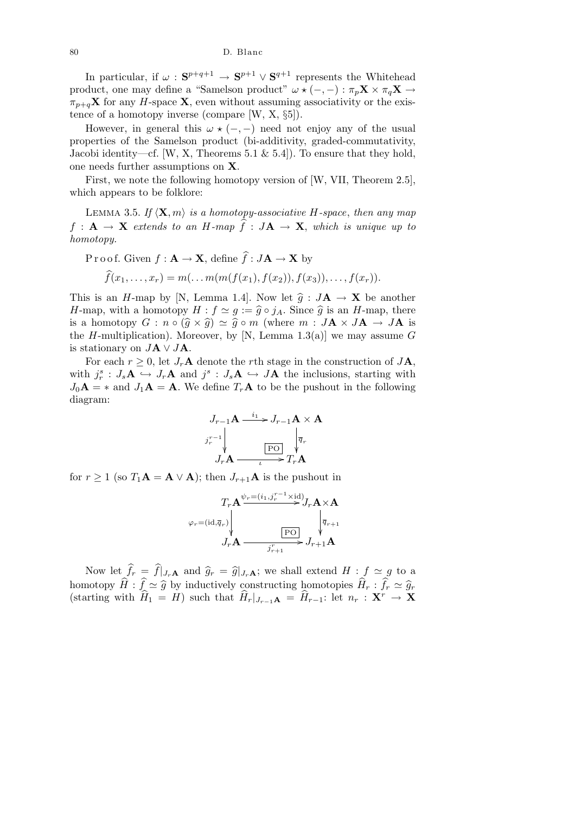80 D. Blanc

In particular, if  $\omega$ :  $S^{p+q+1} \to S^{p+1} \vee S^{q+1}$  represents the Whitehead product, one may define a "Samelson product"  $\omega \star (-,-) : \pi_p \mathbf{X} \times \pi_q \mathbf{X} \to$  $\pi_{p+q}$ **X** for any *H*-space **X**, even without assuming associativity or the existence of a homotopy inverse (compare [W, X, *§*5]).

However, in general this  $\omega \star (-,-)$  need not enjoy any of the usual properties of the Samelson product (bi-additivity, graded-commutativity, Jacobi identity—cf. [W, X, Theorems 5.1  $\&$  5.4]). To ensure that they hold, one needs further assumptions on **X**.

First, we note the following homotopy version of [W, VII, Theorem 2.5], which appears to be folklore:

LEMMA 3.5. If  $\langle \mathbf{X}, m \rangle$  *is a homotopy-associative H*-space, *then any map*  $f: \mathbf{A} \to \mathbf{X}$  extends to an *H*-map  $\widehat{f}: J\mathbf{A} \to \mathbf{X}$ , which is unique up to *homotopy.*

Proof. Given 
$$
f : \mathbf{A} \to \mathbf{X}
$$
, define  $\hat{f} : J\mathbf{A} \to \mathbf{X}$  by  
\n
$$
\hat{f}(x_1, ..., x_r) = m(...m(m(f(x_1), f(x_2)), f(x_3)), ..., f(x_r)).
$$

This is an *H*-map by [N, Lemma 1.4]. Now let  $\hat{g} : J\mathbf{A} \to \mathbf{X}$  be another *H*-map, with a homotopy  $H : f \simeq g := \hat{g} \circ j_A$ . Since  $\hat{g}$  is an *H*-map, there is a homotopy  $G : n \circ (\widehat{g} \times \widehat{g}) \simeq \widehat{g} \circ m$  (where  $m : J\mathbf{A} \times J\mathbf{A} \to J\mathbf{A}$  is the *H*-multiplication). Moreover, by [N, Lemma 1.3(a)] we may assume  $G$ is stationary on  $J\mathbf{A} \vee J\mathbf{A}$ .

For each  $r \geq 0$ , let  $J_r$ **A** denote the *r*th stage in the construction of  $J$ **A**, with  $j_r^s$ :  $J_s$ **A**  $\hookrightarrow$   $J_r$ **A** and  $j^s$ :  $J_s$ **A**  $\hookrightarrow$  *J***A** the inclusions, starting with  $J_0$ **A** =  $*$  and  $J_1$ **A** = **A**. We define  $T_r$ **A** to be the pushout in the following diagram:

$$
J_{r-1}\mathbf{A} \xrightarrow{i_1} J_{r-1}\mathbf{A} \times \mathbf{A}
$$

$$
j_r^{r-1} \downarrow \qquad \qquad \boxed{\mathbf{PO}} \qquad \downarrow \overline{q}_r
$$

$$
J_r \mathbf{A} \xrightarrow{i_r} T_r \mathbf{A}
$$

for  $r \geq 1$  (so  $T_1 \mathbf{A} = \mathbf{A} \vee \mathbf{A}$ ); then  $J_{r+1} \mathbf{A}$  is the pushout in

$$
T_r \mathbf{A}^{\psi_r = (i_1, j_r^{r-1} \times \mathrm{id})} J_r \mathbf{A} \times \mathbf{A}
$$
\n
$$
\varphi_r = (\mathrm{id}, \overline{q}_r) \downarrow \qquad \qquad \boxed{\text{PO} \qquad \downarrow} \qquad \boxed{\overline{q}_{r+1}}
$$
\n
$$
J_r \mathbf{A} \xrightarrow{\overline{q}_{r+1}} J_{r+1} \mathbf{A}
$$

Now let  $\hat{f}_r = \hat{f}|_{J_r \mathbf{A}}$  and  $\hat{g}_r = \hat{g}|_{J_r \mathbf{A}}$ ; we shall extend  $H : f \simeq g$  to a homotopy  $\widehat{H}$  :  $\widehat{f} \simeq \widehat{g}$  by inductively constructing homotopies  $\widehat{H}_r$  :  $\widehat{f}_r \simeq \widehat{g}_r$ (starting with  $\widehat{H}_1 = H$ ) such that  $\widehat{H}_r|_{J_{r-1}\mathbf{A}} = \widehat{H}_{r-1}$ : let  $n_r : \mathbf{X}^r \to \mathbf{X}$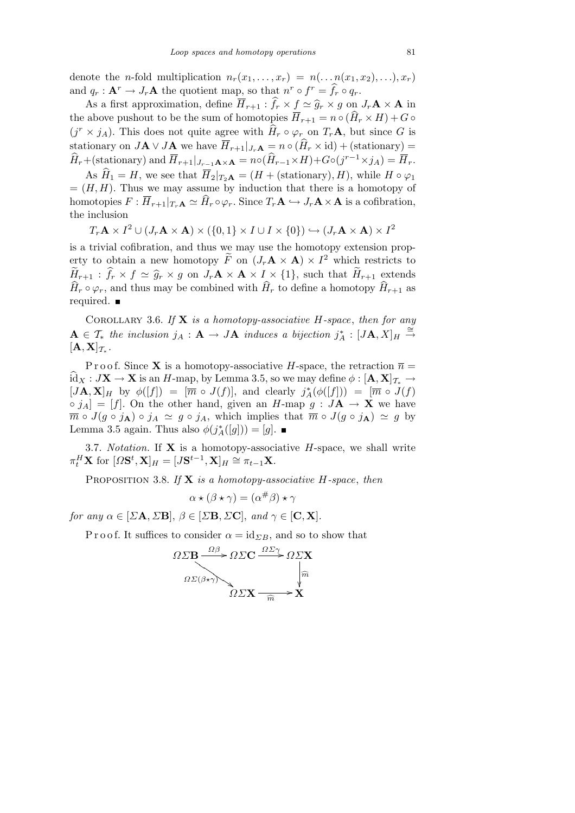denote the *n*-fold multiplication  $n_r(x_1, \ldots, x_r) = n(\ldots n(x_1, x_2), \ldots), x_r$ and  $q_r: \mathbf{A}^r \to J_r \mathbf{A}$  the quotient map, so that  $n^r \circ f^r = \hat{f}_r \circ q_r$ .

As a first approximation, define  $\overline{H}_{r+1}$  :  $\widehat{f}_r \times f \simeq \widehat{g}_r \times g$  on  $J_r \mathbf{A} \times \mathbf{A}$  in the above pushout to be the sum of homotopies  $\overline{H}_{r+1} = n \circ (\widehat{H}_r \times H) + G \circ$  $(j^r \times j_A)$ . This does not quite agree with  $\widehat{H}_r \circ \varphi_r$  on  $T_r \mathbf{A}$ , but since *G* is stationary on  $J\mathbf{A} \vee J\mathbf{A}$  we have  $\overline{H}_{r+1}|_{J_r\mathbf{A}} = n \circ (\widehat{H}_r \times id) + (\text{stationary}) =$  $\widehat{H}_r + (\text{stationary})$  and  $\overline{H}_{r+1}|_{J_{r-1}\mathbf{A}\times\mathbf{A}} = n \circ (\widehat{H}_{r-1} \times H) + G \circ (j^{r-1} \times j_A) = \overline{H}_r.$ 

As  $\widehat{H}_1 = H$ , we see that  $\overline{H}_2|_{T_2}$ **A** = (*H* + (stationary)*, H*), while  $H \circ \varphi_1$  $=(H, H)$ . Thus we may assume by induction that there is a homotopy of homotopies  $F: \overline{H}_{r+1}|_{T_r\mathbf{A}} \simeq \widehat{H}_r \circ \varphi_r$ . Since  $T_r\mathbf{A} \hookrightarrow J_r\mathbf{A} \times \mathbf{A}$  is a cofibration, the inclusion

$$
T_r\mathbf{A} \times I^2 \cup (J_r\mathbf{A} \times \mathbf{A}) \times (\{0,1\} \times I \cup I \times \{0\}) \hookrightarrow (J_r\mathbf{A} \times \mathbf{A}) \times I^2
$$

is a trivial cofibration, and thus we may use the homotopy extension property to obtain a new homotopy  $\widetilde{F}$  on  $(J_r \mathbf{A} \times \mathbf{A}) \times I^2$  which restricts to  $\widetilde{H}_{r+1}$ :  $\widehat{f}_r \times f \simeq \widehat{g}_r \times g$  on  $J_r \mathbf{A} \times \mathbf{A} \times I \times \{1\}$ , such that  $\widetilde{H}_{r+1}$  extends  $\widehat{H}_r \circ \varphi_r$ , and thus may be combined with  $\widehat{H}_r$  to define a homotopy  $\widehat{H}_{r+1}$  as required.

Corollary 3.6. *If* **X** *is a homotopy-associative H-space*, *then for any*  $\mathbf{A} \in \mathcal{T}_{*}$  *the inclusion*  $j_{A} : \mathbf{A} \to J\mathbf{A}$  *induces a bijection*  $j_{A}^{*} : [J\mathbf{A}, X]_{H} \stackrel{\cong}{\to}$  $[\mathbf{A}, \mathbf{X}]_{\mathcal{T}_*}$  *.* 

P r o o f. Since **X** is a homotopy-associative *H*-space, the retraction  $\overline{n}$  =  $\widehat{\mathrm{id}}_X : J\mathbf{X} \to \mathbf{X}$  is an *H*-map, by Lemma 3.5, so we may define  $\phi : [\mathbf{A}, \mathbf{X}]_{\mathcal{T}^*} \to$  $[J\mathbf{A}, \mathbf{X}]_H$  by  $\phi([f]) = [\overline{m} \circ J(f)],$  and clearly  $j_A^*(\phi([f])) = [\overline{m} \circ J(f)]$  $\circ$   $j_A$  = [f]. On the other hand, given an *H*-map  $g : J\mathbf{A} \to \mathbf{X}$  we have  $\overline{m} \circ J(g \circ j_A) \circ j_A \simeq g \circ j_A$ , which implies that  $\overline{m} \circ J(g \circ j_A) \simeq g$  by Lemma 3.5 again. Thus also  $\phi(j_A^*([g])) = [g]$ .

3.7. *Notation.* If **X** is a homotopy-associative *H*-space, we shall write  $\pi_t^H$ **X** for  $[Ω\mathbf{S}^t, \mathbf{X}]_H = [J\mathbf{S}^{t-1}, \mathbf{X}]_H \stackrel{\sim}{\approx} \pi_{t-1}\mathbf{X}.$ 

Proposition 3.8. *If* **X** *is a homotopy-associative H-space*, *then*

$$
\alpha \star (\beta \star \gamma) = (\alpha^{\#}\beta) \star \gamma
$$

*for any*  $\alpha \in [\Sigma \mathbf{A}, \Sigma \mathbf{B}], \beta \in [\Sigma \mathbf{B}, \Sigma \mathbf{C}],$  *and*  $\gamma \in [\mathbf{C}, \mathbf{X}].$ 

P r o o f. It suffices to consider  $\alpha = id_{\Sigma B}$ , and so to show that

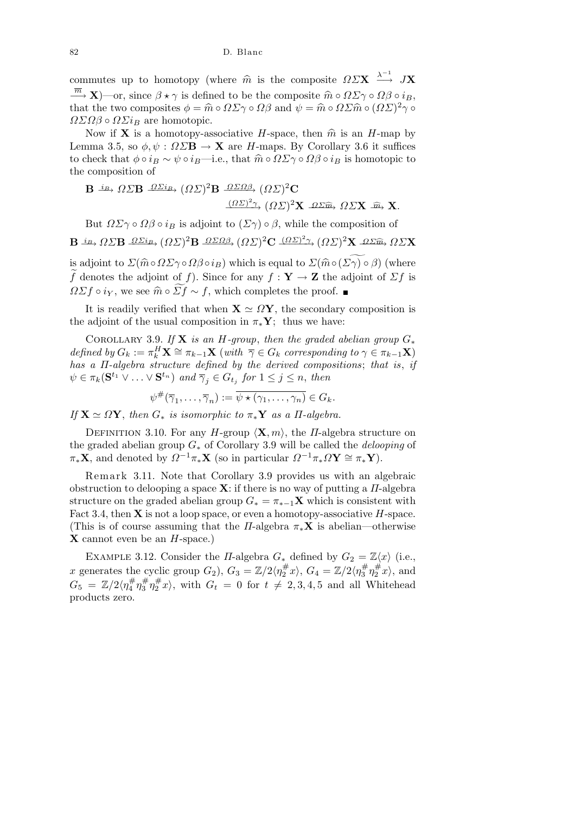82 D. Blanc

commutes up to homotopy (where  $\hat{m}$  is the composite  $\Omega \Sigma \mathbf{X} \stackrel{\lambda^{-1}}{\longrightarrow} J\mathbf{X}$  $\overline{m}$  **X**)—or, since  $\beta \star \gamma$  is defined to be the composite  $\hat{m} \circ \Omega \Sigma \gamma \circ \Omega \beta \circ i_B$ , that the two composites  $\phi = \hat{m} \circ \Omega \Sigma \gamma \circ \Omega \beta$  and  $\psi = \hat{m} \circ \Omega \Sigma \hat{m} \circ (\Omega \Sigma)^2 \gamma \circ \Omega \beta$  $ΩΣΩβ ∘ ΩΣ*i*<sub>B</sub>$  are homotopic.

Now if **X** is a homotopy-associative *H*-space, then  $\hat{m}$  is an *H*-map by Lemma 3.5, so  $\phi, \psi : \Omega \Sigma \mathbf{B} \to \mathbf{X}$  are *H*-maps. By Corollary 3.6 it suffices to check that  $\phi \circ i_B \sim \psi \circ i_B$ —i.e., that  $\hat{m} \circ \Omega \Sigma \gamma \circ \Omega \beta \circ i_B$  is homotopic to the composition of

**B** 
$$
\stackrel{i}{\longrightarrow} \Omega \Sigma \mathbf{B} \stackrel{\Omega \Sigma i_B}{\longrightarrow} (\Omega \Sigma)^2 \mathbf{B} \stackrel{\Omega \Sigma \Omega \beta}{\longrightarrow} (\Omega \Sigma)^2 \mathbf{C}
$$
  
 $\stackrel{(\Omega \Sigma)^2 \gamma}{\longrightarrow} (\Omega \Sigma)^2 \mathbf{X} \stackrel{\Omega \Sigma \widehat{m}}{\longrightarrow} \Omega \Sigma \mathbf{X} \stackrel{\widehat{m}}{\longrightarrow} \mathbf{X}.$ 

But  $\Omega\Sigma\gamma \circ \Omega\beta \circ i_B$  is adjoint to  $(\Sigma\gamma) \circ \beta$ , while the composition of  $\mathbf{B} \xrightarrow{i_{B}} \varOmega \varSigma \mathbf{B} \xrightarrow{\varOmega \varSigma i_{B}} (\varOmega \varSigma)^2 \mathbf{B} \xrightarrow{\varOmega \varSigma \varOmega \beta} (\varOmega \varSigma)^2 \mathbf{C} \xrightarrow{(\varOmega \varSigma)^2 \gamma} (\varOmega \varSigma)^2 \mathbf{X} \xrightarrow{\varOmega \varSigma \widehat{m}} \varOmega \varSigma \mathbf{X}$ 

is adjoint to  $\mathcal{L}(\hat{m} \circ \Omega \Sigma \gamma \circ \Omega \beta \circ i_B)$  which is equal to  $\mathcal{L}(\hat{m} \circ (\Sigma \gamma) \circ \beta)$  (where  $\widetilde{f}$  denotes the adjoint of *f*). Since for any  $f : \mathbf{Y} \to \mathbf{Z}$  the adjoint of  $\Sigma f$  is *ΩΣf*  $\circ i_Y$ , we see  $\hat{m} \circ \widetilde{zf} \sim f$ , which completes the proof. ■

It is readily verified that when  $X \simeq \Omega Y$ , the secondary composition is the adjoint of the usual composition in  $\pi_* Y$ ; thus we have:

COROLLARY 3.9. If **X** is an *H*-group, then the graded abelian group  $G_*$ defined by  $G_k := \pi_k^H \mathbf{X} \cong \pi_{k-1} \mathbf{X}$  (with  $\overline{\gamma} \in G_k$  corresponding to  $\gamma \in \pi_{k-1} \mathbf{X}$ ) *has a Π-algebra structure defined by the derived compositions*; *that is*, *if*  $\psi \in \pi_k(\mathbf{S}^{t_1} \vee \ldots \vee \mathbf{S}^{t_n})$  and  $\overline{\gamma}_j \in G_{t_j}$  for  $1 \leq j \leq n$ , then

$$
\psi^{\#}(\overline{\gamma}_1,\ldots,\overline{\gamma}_n):=\overline{\psi\star(\gamma_1,\ldots,\gamma_n)}\in G_k.
$$

 $If \mathbf{X} \simeq \Omega \mathbf{Y}, then G_*$  *is isomorphic to*  $\pi_* \mathbf{Y}$  *as a Π*-algebra.

DEFINITION 3.10. For any *H*-group  $\langle \mathbf{X}, m \rangle$ , the *Π*-algebra structure on the graded abelian group *G<sup>∗</sup>* of Corollary 3.9 will be called the *delooping* of  $\pi_*$ **X**, and denoted by  $\Omega^{-1}\pi_*$ **X** (so in particular  $\Omega^{-1}\pi_*\Omega$ **Y**  $\cong \pi_*$ **Y**).

Remark 3.11. Note that Corollary 3.9 provides us with an algebraic obstruction to delooping a space **X**: if there is no way of putting a *Π*-algebra structure on the graded abelian group  $G_* = \pi_{*-1} \mathbf{X}$  which is consistent with Fact 3.4, then **X** is not a loop space, or even a homotopy-associative *H*-space. (This is of course assuming that the *Π*-algebra  $\pi_*\mathbf{X}$  is abelian—otherwise **X** cannot even be an *H*-space.)

EXAMPLE 3.12. Consider the *Π*-algebra  $G_*$  defined by  $G_2 = \mathbb{Z}\langle x \rangle$  (i.e., *x* generates the cyclic group  $G_2$ ,  $G_3 = \mathbb{Z}/2\langle \eta_2^{\#} \rangle$  $\binom{\#}{2}$ *x*<sup>}</sup>,  $G_4 = \mathbb{Z}/2 \langle \eta_3^{\#}$ 3 *η* #  $x_2^{\#}x\rangle$ , and  $G_5 \; = \; \mathbb{Z}/2\langle \eta_4^\#$ 4 *η* # 3 *η* #  $\frac{\pi}{2}x$ , with  $G_t = 0$  for  $t \neq 2, 3, 4, 5$  and all Whitehead products zero.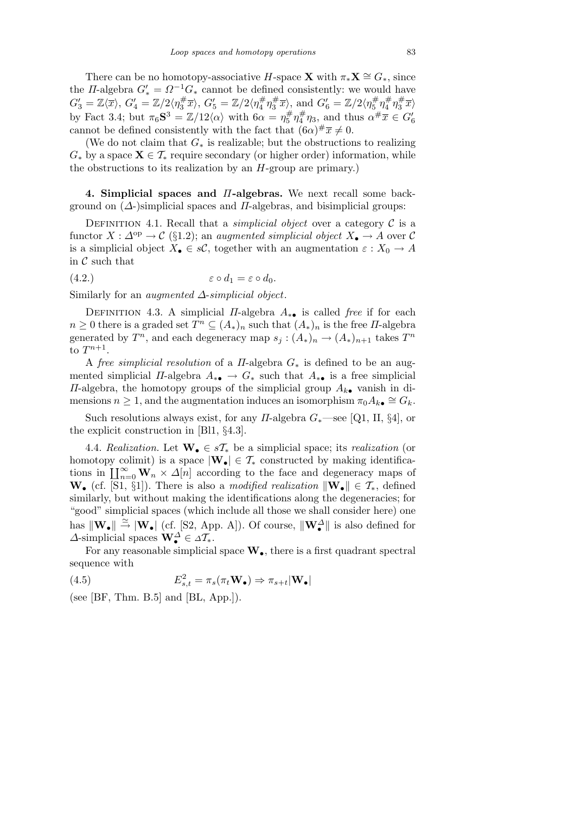There can be no homotopy-associative *H*-space **X** with  $\pi_*\mathbf{X} \cong G_*$ , since the *Π*-algebra  $G'_{*} = \Omega^{-1}G_{*}$  cannot be defined consistently: we would have  $G_3' = \mathbb{Z}\langle\overline{x}\rangle, G_4' = \mathbb{Z}/2\langle\eta_3^\#$  $\langle \frac{\#}{3}\overline{x}\rangle$ ,  $G'_{5}=\mathbb{Z}/2\langle \eta_{4}^{\#}$ 4 *η* #  $\frac{\#}{3}\overline{x}$ , and  $G_6' = \mathbb{Z}/2\langle \eta_5^{\#}$ 5 *η* # 4 *η* #  $\langle \frac{\#}{3}\overline{x}\rangle$ by Fact 3.4; but  $\pi_6 S^3 = \mathbb{Z}/12 \langle \alpha \rangle$  with  $6\alpha = \eta_5^{\#}$ 5 *η* #  $\frac{\#}{4}\eta_3$ , and thus  $\alpha^{\#}\overline{x} \in G_6'$ cannot be defined consistently with the fact that  $(6\alpha)^\# \overline{x} \neq 0$ .

(We do not claim that *G<sup>∗</sup>* is realizable; but the obstructions to realizing  $G_*$  by a space  $X \in \mathcal{T}_*$  require secondary (or higher order) information, while the obstructions to its realization by an *H*-group are primary.)

**4. Simplicial spaces and** *Π***-algebras.** We next recall some background on (*∆*-)simplicial spaces and *Π*-algebras, and bisimplicial groups:

DEFINITION 4.1. Recall that a *simplicial object* over a category  $C$  is a functor  $X : \Delta^{\text{op}} \to \mathcal{C}$  (§1.2); an *augmented simplicial object*  $X_{\bullet} \to A$  over  $\mathcal{C}$ is a simplicial object  $X_{\bullet} \in s\mathcal{C}$ , together with an augmentation  $\varepsilon : X_0 \to A$ in  $\mathcal C$  such that

$$
(4.2.) \t\t\t\t\varepsilon \circ d_1 = \varepsilon \circ d_0.
$$

Similarly for an *augmented ∆*-*simplicial object*.

DEFINITION 4.3. A simplicial *Π*-algebra  $A_{* \bullet}$  is called *free* if for each  $n \geq 0$  there is a graded set  $T^n \subseteq (A_*)_n$  such that  $(A_*)_n$  is the free *II*-algebra generated by  $T^n$ , and each degeneracy map  $s_j : (A_*)_n \to (A_*)_{n+1}$  takes  $T^n$ to  $T^{n+1}$ .

A *free simplicial resolution* of a *Π*-algebra *G<sup>∗</sup>* is defined to be an augmented simplicial *Π*-algebra  $A_{* \bullet} \to G_{*}$  such that  $A_{* \bullet}$  is a free simplicial *Π*-algebra, the homotopy groups of the simplicial group *Ak•* vanish in dimensions  $n \geq 1$ , and the augmentation induces an isomorphism  $\pi_0 A_{k\bullet} \cong G_k$ .

Such resolutions always exist, for any *Π*-algebra *G∗*—see [Q1, II, *§*4], or the explicit construction in [Bl1, *§*4.3].

4.4. *Realization.* Let  $\mathbf{W}_{\bullet} \in s\mathcal{T}_{*}$  be a simplicial space; its *realization* (or homotopy colimit) is a space  $|\mathbf{W}_{\bullet}| \in \mathcal{T}_{*}$  constructed by making identificanomotopy commulations in  $\prod_{n=0}^{\infty} \mathbf{W}_n \times \Delta[n]$  according to the face and degeneracy maps of **W**• (cf. [S1, §1]). There is also a *modified realization*  $\|\mathbf{W}_\bullet\| \in \mathcal{T}_*$ , defined similarly, but without making the identifications along the degeneracies; for "good" simplicial spaces (which include all those we shall consider here) one has  $\|\mathbf{W}_\bullet\| \stackrel{\simeq}{\to} |\mathbf{W}_\bullet|$  (cf. [S2, App. A]). Of course,  $\|\mathbf{W}_\bullet^{\Delta}\|$  is also defined for  $\Delta$ -simplicial spaces  $\mathbf{W}_{\bullet}^{\Delta} \in \Delta T_*$ .

For any reasonable simplicial space **W***•*, there is a first quadrant spectral sequence with

(4.5) 
$$
E_{s,t}^2 = \pi_s(\pi_t \mathbf{W}_\bullet) \Rightarrow \pi_{s+t}|\mathbf{W}_\bullet|
$$

(see [BF, Thm. B.5] and  $[BL, App.])$ .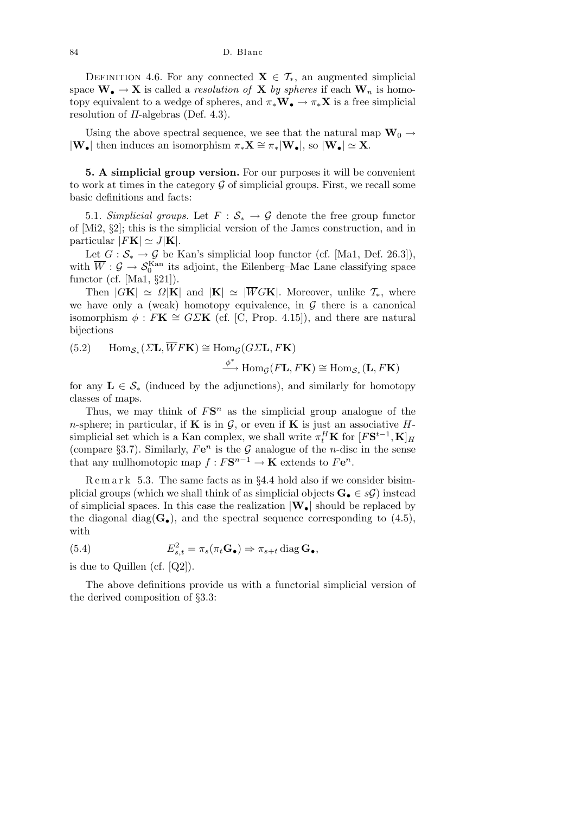DEFINITION 4.6. For any connected  $\mathbf{X} \in \mathcal{T}_{*}$ , an augmented simplicial space  $\mathbf{W}_{\bullet} \to \mathbf{X}$  is called a *resolution of*  $\mathbf{X}$  *by spheres* if each  $\mathbf{W}_n$  is homotopy equivalent to a wedge of spheres, and  $\pi_* \mathbf{W}_\bullet \to \pi_* \mathbf{X}$  is a free simplicial resolution of *Π*-algebras (Def. 4.3).

Using the above spectral sequence, we see that the natural map  $\mathbf{W}_0 \rightarrow$ *|***W**• $\mathbf{W}$ *• then induces an isomorphism*  $\pi_*\mathbf{X} \cong \pi_*|\mathbf{W}$ *•<i>|*, so  $|\mathbf{W}_\bullet| \simeq \mathbf{X}$ .

**5. A simplicial group version.** For our purposes it will be convenient to work at times in the category  $G$  of simplicial groups. First, we recall some basic definitions and facts:

5.1. *Simplicial groups.* Let  $F : \mathcal{S}_* \to \mathcal{G}$  denote the free group functor of [Mi2, *§*2]; this is the simplicial version of the James construction, and in particular  $|F\mathbf{K}| \simeq J|\mathbf{K}|$ .

Let  $G : \mathcal{S}_* \to \mathcal{G}$  be Kan's simplicial loop functor (cf. [Ma1, Def. 26.3]), with  $\overline{W}$  :  $\mathcal{G} \to \mathcal{S}_0^{\text{Kan}}$  its adjoint, the Eilenberg–Mac Lane classifying space functor (cf. [Ma1, *§*21]).

Then  $|G\mathbf{K}| \simeq \Omega |\mathbf{K}|$  and  $|\mathbf{K}| \simeq |\overline{W}G\mathbf{K}|$ . Moreover, unlike  $\mathcal{T}_{*}$ , where we have only a (weak) homotopy equivalence, in *G* there is a canonical isomorphism  $\phi$ : *F***K**  $\cong G\Sigma$ **K** (cf. [C, Prop. 4.15]), and there are natural bijections

 $(\textbf{5.2})$  Hom<sub>*S*<sup>\*</sup></sub> ( $\Sigma$ **L**,  $\overline{W}$ *F***<b>K**)  $\cong$  Hom<sub>*G*</sub> ( $G\Sigma$ **L**,  $F$ **K**)

 $\stackrel{\phi^*}{\longrightarrow}$  Hom<sub>*G*</sub>(*F***L***, F***K**)  $\cong$  Hom<sub>*S*<sup>\*</sup></sub>(**L***, F***K**)

for any  $L \in S$ <sup>\*</sup> (induced by the adjunctions), and similarly for homotopy classes of maps.

Thus, we may think of  $FS<sup>n</sup>$  as the simplicial group analogue of the *n*-sphere; in particular, if **K** is in  $\mathcal{G}$ , or even if **K** is just an associative *H*simplicial set which is a Kan complex, we shall write  $\pi_t^H \mathbf{K}$  for  $[F\mathbf{S}^{t-1}, \mathbf{K}]_H$ (compare §3.7). Similarly,  $Fe<sup>n</sup>$  is the  $G$  analogue of the *n*-disc in the sense that any nullhomotopic map  $f: F\mathbf{S}^{n-1} \to \mathbf{K}$  extends to  $F\mathbf{e}^n$ .

R e m a r k 5.3. The same facts as in *§*4.4 hold also if we consider bisimplicial groups (which we shall think of as simplicial objects  $\mathbf{G}_\bullet \in \mathcal{SG}$ ) instead of simplicial spaces. In this case the realization *|***W***•|* should be replaced by the diagonal diag( $G$ <sup>*•*</sup>), and the spectral sequence corresponding to (4.5), with

(5.4) 
$$
E_{s,t}^2 = \pi_s(\pi_t \mathbf{G}_\bullet) \Rightarrow \pi_{s+t} \operatorname{diag} \mathbf{G}_\bullet,
$$

is due to Quillen (cf. [Q2]).

The above definitions provide us with a functorial simplicial version of the derived composition of *§*3.3: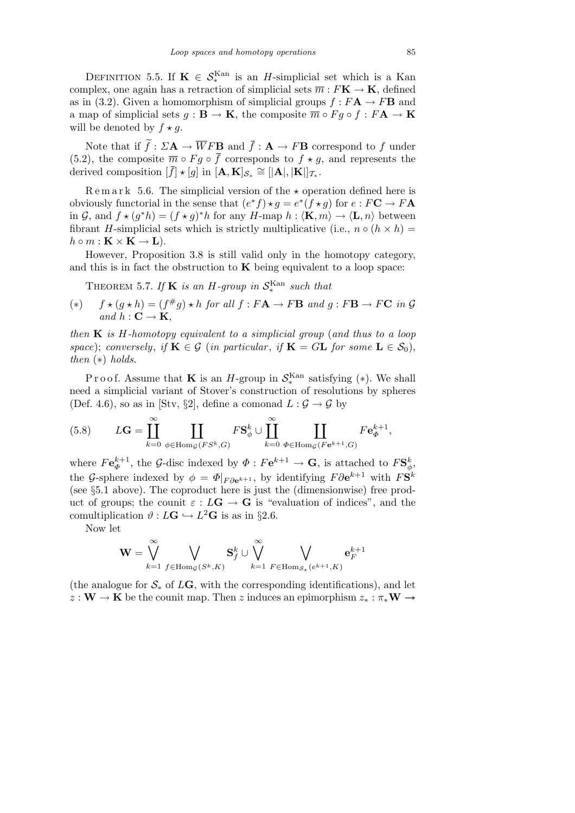DEFINITION 5.5. If  $\mathbf{K} \in \mathcal{S}_{*}^{\text{Kan}}$  is an *H*-simplicial set which is a Kan complex, one again has a retraction of simplicial sets  $\overline{m}: F\mathbf{K} \to \mathbf{K}$ , defined as in (3.2). Given a homomorphism of simplicial groups  $f : F\mathbf{A} \to F\mathbf{B}$  and a map of simplicial sets  $g : \mathbf{B} \to \mathbf{K}$ , the composite  $\overline{m} \circ Fg \circ f : F\mathbf{A} \to \mathbf{K}$ will be denoted by  $f \star g$ .

Note that if  $\tilde{f}$  :  $\Sigma \mathbf{A} \to \overline{W} F \mathbf{B}$  and  $\overline{f}$  :  $\mathbf{A} \to F \mathbf{B}$  correspond to f under (5.2), the composite  $\overline{m} \circ Fg \circ \overline{f}$  corresponds to  $f \star g$ , and represents the derived composition  $[\bar{f}] \star [g]$  in  $[\mathbf{A}, \mathbf{K}]_{\mathcal{S}_*} \cong [|\mathbf{A}|, |\mathbf{K}|]_{\mathcal{T}_*}$ .

Remark 5.6. The simplicial version of the  $\star$  operation defined here is obviously functorial in the sense that  $(e^*f) \star g = e^*(f \star g)$  for  $e : F\mathbf{C} \to F\mathbf{A}$ in *G*, and  $f \star (g^*h) = (f \star g)^*h$  for any *H*-map  $h : \langle \mathbf{K}, m \rangle \to \langle \mathbf{L}, n \rangle$  between fibrant *H*-simplicial sets which is strictly multiplicative (i.e.,  $n \circ (h \times h) =$  $h \circ m : \mathbf{K} \times \mathbf{K} \to \mathbf{L}$ .

However, Proposition 3.8 is still valid only in the homotopy category, and this is in fact the obstruction to  $\bf{K}$  being equivalent to a loop space:

THEOREM 5.7. If **K** is an *H*-group in  $S_*^{\text{Kan}}$  such that

(\*) 
$$
f \star (g \star h) = (f^{\#}g) \star h
$$
 for all  $f : F\mathbf{A} \to F\mathbf{B}$  and  $g : F\mathbf{B} \to F\mathbf{C}$  in  $\mathcal{G}$   
and  $h : \mathbf{C} \to \mathbf{K}$ ,

*then* **K** *is H-homotopy equivalent to a simplicial group* (*and thus to a loop space*); *conversely*, *if*  $\mathbf{K} \in \mathcal{G}$  (*in particular*, *if*  $\mathbf{K} = G\mathbf{L}$  *for some*  $\mathbf{L} \in \mathcal{S}_0$ ), *then* (*∗*) *holds.*

Proof. Assume that **K** is an *H*-group in  $S_*^{\text{Kan}}$  satisfying (\*). We shall need a simplicial variant of Stover's construction of resolutions by spheres (Def. 4.6), so as in [Stv, §2], define a comonad  $L: \mathcal{G} \to \mathcal{G}$  by

(5.8) 
$$
L\mathbf{G} = \prod_{k=0}^{\infty} \prod_{\phi \in \text{Hom}_{\mathcal{G}}(FS^k, G)} FS_{\phi}^k \cup \prod_{k=0}^{\infty} \prod_{\Phi \in \text{Hom}_{\mathcal{G}}(F\mathbf{e}^{k+1}, G)} Fe_{\Phi}^{k+1},
$$

where  $F\mathbf{e}_{\Phi}^{k+1}$ , the *G*-disc indexed by  $\Phi: F\mathbf{e}^{k+1} \to \mathbf{G}$ , is attached to  $F\mathbf{S}_{\phi}^{k}$ , the *G*-sphere indexed by  $\phi = \Phi|_{F\partial e^{k+1}}$ , by identifying  $F\partial e^{k+1}$  with  $F\mathbf{S}^k$ (see *§*5.1 above). The coproduct here is just the (dimensionwise) free product of groups; the counit  $\varepsilon$  :  $L\mathbf{G} \to \mathbf{G}$  is "evaluation of indices", and the comultiplication  $\vartheta : L\mathbf{G} \hookrightarrow L^2\mathbf{G}$  is as in §2.6.

Now let

$$
\mathbf{W} = \bigvee_{k=1}^{\infty} \bigvee_{f \in \operatorname{Hom}_\mathcal{G}(S^k, K)} \mathbf{S}^k_f \cup \bigvee_{k=1}^{\infty} \bigvee_{F \in \operatorname{Hom}_{\mathcal{S}_*}(e^{k+1}, K)} \mathbf{e}_F^{k+1}
$$

(the analogue for  $S_*$  of  $LG$ , with the corresponding identifications), and let  $z : W \to K$  be the counit map. Then *z* induces an epimorphism  $z_* : \pi_* W \to$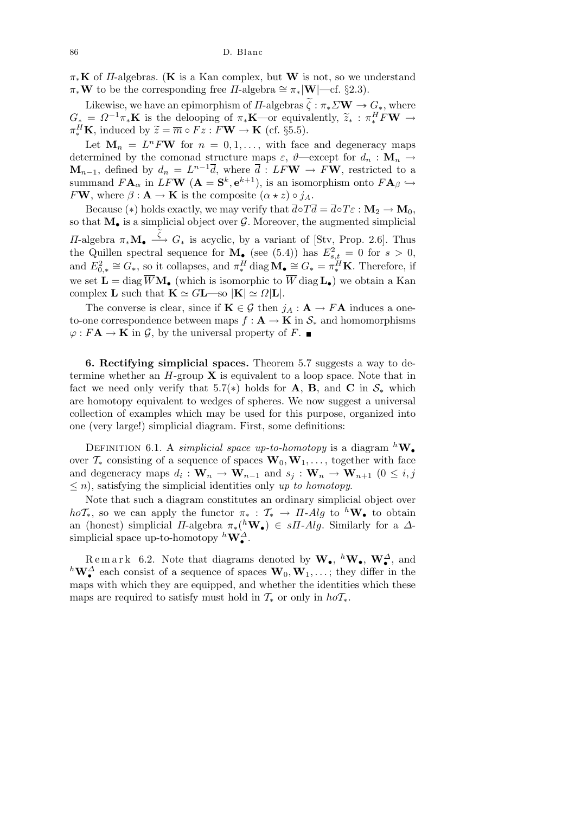$\pi_*\mathbf{K}$  of *Π*-algebras. (**K** is a Kan complex, but **W** is not, so we understand  $\pi_* \mathbf{W}$  to be the corresponding free *Π*-algebra  $\cong \pi_* |\mathbf{W}|$ —cf. *§*2.3).

Likewise, we have an epimorphism of *Π*-algebras  $\widetilde{\zeta}: \pi_* \Sigma \mathbf{W} \to G_*,$  where  $G_* = \Omega^{-1}\pi_*\mathbf{K}$  is the delooping of  $\pi_*\mathbf{K}$ —or equivalently,  $\widetilde{z}_* : \pi_*^H F \mathbf{W} \to$  $\pi_*^H$ **K**, induced by  $\widetilde{z} = \overline{m} \circ Fz : F$ **W**  $\to$  **K** (cf. §5.5).

Let  $\mathbf{M}_n = L^n F \mathbf{W}$  for  $n = 0, 1, \ldots$ , with face and degeneracy maps determined by the comonad structure maps  $\varepsilon$ ,  $\vartheta$ —except for  $d_n : \mathbf{M}_n \to$  $\mathbf{M}_{n-1}$ , defined by  $d_n = L^{n-1}\overline{d}$ , where  $\overline{d}$  :  $LF\mathbf{W} \rightarrow F\mathbf{W}$ , restricted to a summand  $FA_\alpha$  in  $LFW$  ( $A = S^k, e^{k+1}$ ), is an isomorphism onto  $FA_\beta \hookrightarrow$ *F***W**, where  $\beta$  **: A**  $\rightarrow$  **K** is the composite  $(\alpha * z) \circ j_A$ .

Because (\*) holds exactly, we may verify that  $\overline{d} \circ T \overline{d} = \overline{d} \circ T \varepsilon : \mathbf{M}_2 \to \mathbf{M}_0$ , so that  $M_{\bullet}$  is a simplicial object over  $\mathcal{G}$ . Moreover, the augmented simplicial *II*-algebra  $\pi_* \mathbf{M}_\bullet \xrightarrow{\tilde{\zeta}} G_*$  is acyclic, by a variant of [Stv, Prop. 2.6]. Thus the Quillen spectral sequence for  $\mathbf{M}_{\bullet}$  (see (5.4)) has  $E_{s,t}^2 = 0$  for  $s > 0$ , and  $E_{0,*}^2 \cong G_*,$  so it collapses, and  $\pi_*^H$  diag  $\mathbf{M}_\bullet \cong G_* = \pi_*^H \mathbf{K}$ . Therefore, if we set  $\mathbf{L} = \text{diag } \overline{W} \mathbf{M}_{\bullet}$  (which is isomorphic to  $\overline{W}$  diag  $\mathbf{L}_{\bullet}$ ) we obtain a Kan complex **L** such that  $\mathbf{K} \simeq G\mathbf{L}$ —so  $|\mathbf{K}| \simeq \Omega |\mathbf{L}|$ .

The converse is clear, since if  $\mathbf{K} \in \mathcal{G}$  then  $j_A : \mathbf{A} \to F\mathbf{A}$  induces a oneto-one correspondence between maps  $f : A \to K$  in  $S_*$  and homomorphisms  $\varphi$ :  $F$ **A**  $\rightarrow$  **K** in *G*, by the universal property of *F*.

**6. Rectifying simplicial spaces.** Theorem 5.7 suggests a way to determine whether an *H*-group **X** is equivalent to a loop space. Note that in fact we need only verify that 5.7( $*$ ) holds for **A**, **B**, and **C** in  $S_*$  which are homotopy equivalent to wedges of spheres. We now suggest a universal collection of examples which may be used for this purpose, organized into one (very large!) simplicial diagram. First, some definitions:

DEFINITION 6.1. A *simplicial space up-to-homotopy* is a diagram  $^h\mathbf{W}_\bullet$ over  $\mathcal{T}_{*}$  consisting of a sequence of spaces  $\mathbf{W}_{0}, \mathbf{W}_{1}, \ldots$ , together with face and degeneracy maps  $d_i: \mathbf{W}_n \to \mathbf{W}_{n-1}$  and  $s_j: \mathbf{W}_n \to \mathbf{W}_{n+1}$  ( $0 \le i, j$ ) *≤ n*), satisfying the simplicial identities only *up to homotopy*.

Note that such a diagram constitutes an ordinary simplicial object over *hoT***<sub>***\****</sub>**, so we can apply the functor  $\pi_*$  :  $\mathcal{T}_*$   $\to$  *Π*-*Alg* to *h***W**• to obtain an (honest) simplicial *Π*-algebra  $\pi_*(^h\mathbf{W}_\bullet) \in sH$ -Alg. Similarly for a  $\Delta$ simplicial space up-to-homotopy  ${}^h\mathbf{W}^{\Delta}_{\bullet}$ .

Remark 6.2. Note that diagrams denoted by  $W_{\bullet}$ ,  $^hW_{\bullet}$ ,  $W_{\bullet}^{\Delta}$ , and *h***W**<sup>∆</sup> each consist of a sequence of spaces **W**<sub>0</sub>, **W**<sub>1</sub>,...; they differ in the maps with which they are equipped, and whether the identities which these maps are required to satisfy must hold in  $\mathcal{T}_{*}$  or only in  $ho\mathcal{T}_{*}$ .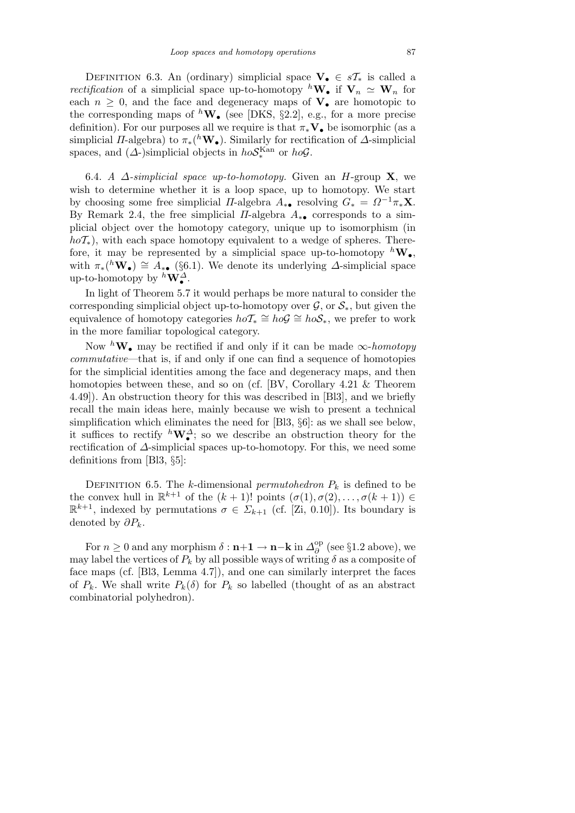DEFINITION 6.3. An (ordinary) simplicial space  $V_0 \in sT_*$  is called a *rectification* of a simplicial space up-to-homotopy <sup>h</sup>**W**• if  $V_n \simeq W_n$  for each  $n \geq 0$ , and the face and degeneracy maps of  $V_{\bullet}$  are homotopic to the corresponding maps of  $^h$ **W**<sub>•</sub> (see [DKS, §2.2], e.g., for a more precise definition). For our purposes all we require is that *π∗***V***•* be isomorphic (as a simplicial *Π*-algebra) to  $\pi_*(h\mathbf{W}_\bullet)$ . Similarly for rectification of  $\Delta$ -simplicial spaces, and  $(\Delta)$ -simplicial objects in  $ho\mathcal{S}_{*}^{\text{Kan}}$  or  $ho\mathcal{G}$ .

6.4. *A ∆-simplicial space up-to-homotopy.* Given an *H*-group **X**, we wish to determine whether it is a loop space, up to homotopy. We start by choosing some free simplicial *Π*-algebra  $A_{*}$  resolving  $G_* = \Omega^{-1} \pi_* \mathbf{X}$ . By Remark 2.4, the free simplicial *Π*-algebra *A∗•* corresponds to a simplicial object over the homotopy category, unique up to isomorphism (in  $h\circ T_*$ ), with each space homotopy equivalent to a wedge of spheres. Therefore, it may be represented by a simplicial space up-to-homotopy  ${}^h\mathbf{W}_\bullet$ , with  $\pi_*(h\tilde{\mathbf{W}}_{\bullet}) \cong A_{* \bullet}$  (§6.1). We denote its underlying  $\Delta$ -simplicial space up-to-homotopy by  ${}^h \mathbf{W}^{\Delta}_\bullet$ .

In light of Theorem 5.7 it would perhaps be more natural to consider the corresponding simplicial object up-to-homotopy over  $\mathcal{G}$ , or  $\mathcal{S}_*$ , but given the equivalence of homotopy categories  $hoT_* \cong \tilde{hoG} \cong \tilde{hoS_*}$ , we prefer to work in the more familiar topological category.

Now  ${}^h\mathbf{W}_\bullet$  may be rectified if and only if it can be made  $\infty$ -*homotopy commutative*—that is, if and only if one can find a sequence of homotopies for the simplicial identities among the face and degeneracy maps, and then homotopies between these, and so on (cf. [BV, Corollary 4.21 & Theorem 4.49]). An obstruction theory for this was described in [Bl3], and we briefly recall the main ideas here, mainly because we wish to present a technical simplification which eliminates the need for [Bl3, *§*6]: as we shall see below, it suffices to rectify  ${}^h\mathbf{W}^{\Delta}_{\bullet}$ ; so we describe an obstruction theory for the rectification of *∆*-simplicial spaces up-to-homotopy. For this, we need some definitions from [Bl3, *§*5]:

DEFINITION 6.5. The *k*-dimensional *permutohedron*  $P_k$  is defined to be the convex hull in  $\mathbb{R}^{k+1}$  of the  $(k+1)!$  points  $(\sigma(1), \sigma(2), \ldots, \sigma(k+1)) \in$  $\mathbb{R}^{k+1}$ , indexed by permutations  $\sigma \in \Sigma_{k+1}$  (cf. [Zi, 0.10]). Its boundary is denoted by *∂Pk*.

For  $n \geq 0$  and any morphism  $\delta : \mathbf{n+1} \to \mathbf{n-k}$  in  $\Delta^{\mathrm{op}}_{\delta}$ *∂* (see *§*1.2 above), we may label the vertices of  $P_k$  by all possible ways of writing  $\delta$  as a composite of face maps (cf. [Bl3, Lemma 4.7]), and one can similarly interpret the faces of  $P_k$ . We shall write  $P_k(\delta)$  for  $P_k$  so labelled (thought of as an abstract combinatorial polyhedron).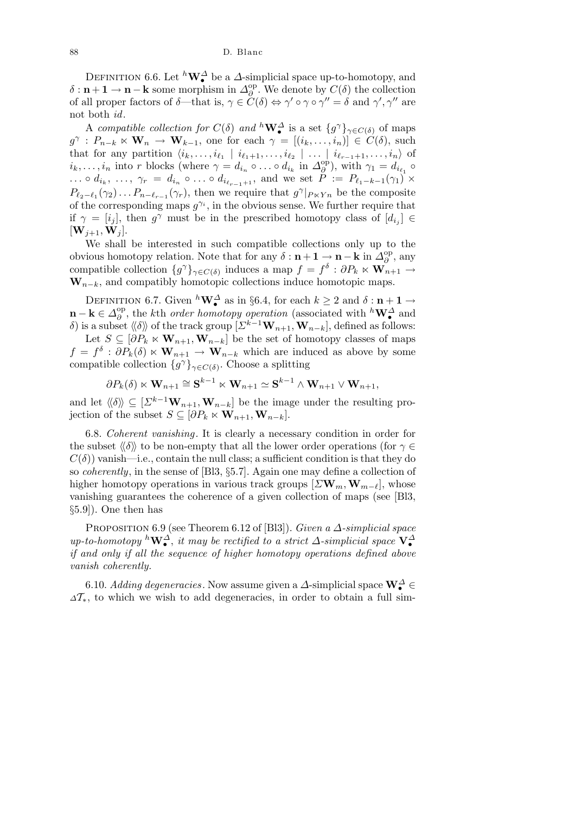DEFINITION 6.6. Let  ${}^h\mathbf{W}^{\Delta}$  be a  $\Delta$ -simplicial space up-to-homotopy, and  $\delta$  : **n** + **1** → **n** − **k** some morphism in  $\Delta_{\beta}^{\text{op}}$ *∂* . We denote by *C*(*δ*) the collection of all proper factors of  $\delta$ —that is,  $\gamma \in \tilde{C}(\delta) \Leftrightarrow \gamma' \circ \gamma \circ \gamma'' = \delta$  and  $\gamma', \gamma''$  are not both *id*.

A *compatible collection for*  $C(\delta)$  *and*  ${}^h \mathbf{W}^{\Delta}$  is a set  $\{g^{\gamma}\}_{\gamma \in C(\delta)}$  of maps  $g^{\gamma}: P_{n-k} \times \mathbf{W}_n \to \mathbf{W}_{k-1}$ , one for each  $\gamma = [(i_k, \ldots, i_n)] \in C(\delta)$ , such that for any partition  $\langle i_k,\ldots,i_{\ell_1} \mid i_{\ell_1+1},\ldots,i_{\ell_2} \mid \ldots \mid i_{\ell_{r-1}+1},\ldots,i_n \rangle$  of  $i_k, \ldots, i_n$  into *r* blocks (where  $\gamma = d_{i_n} \circ \ldots \circ d_{i_k}$  in  $\Delta_{\partial}^{\text{op}}$  $\phi$ <sup>2</sup>), with  $\gamma_1 = d_{i_{\ell_1}} \circ$ ...  $\circ d_{i_k}, \ldots, \gamma_r = d_{i_n} \circ \ldots \circ d_{i_{\ell_{r-1}+1}},$  and we set  $P := P_{\ell_1-k-1}(\gamma_1) \times$  $P_{\ell_2-\ell_1}(\gamma_2)\ldots P_{n-\ell_{r-1}}(\gamma_r)$ , then we require that  $g^{\gamma}|_{P\ltimes Y_n}$  be the composite of the corresponding maps  $g^{\gamma_i}$ , in the obvious sense. We further require that if  $\gamma = [i_j]$ , then  $g^{\gamma}$  must be in the prescribed homotopy class of  $[d_{i_j}] \in$  $[W_{i+1}, W_i].$ 

We shall be interested in such compatible collections only up to the obvious homotopy relation. Note that for any  $\delta : \mathbf{n} + \mathbf{1} \to \mathbf{n} - \mathbf{k}$  in  $\Delta_{\beta}^{\text{op}}$ *∂* , any compatible collection  ${g^{\gamma}}_{\gamma \in C(\delta)}$  induces a map  $f = f^{\delta} : \partial P_k \times \mathbf{W}_{n+1} \to$  $W_{n-k}$ , and compatibly homotopic collections induce homotopic maps.

DEFINITION 6.7. Given  ${}^h\mathbf{W}^{\Delta}$  as in §6.4, for each  $k \geq 2$  and  $\delta : \mathbf{n+1} \to$ **n** − **k**  $\in$   $\Delta_{\theta}^{\text{op}}$ *<sup>∂</sup>*<sup>*p*</sup>, the *k*th *order homotopy operation* (associated with <sup>*h*</sup>**W**<sup>∆</sup><sup>*a*</sup> and *δ*) is a subset  $\langle\langle\delta\rangle\rangle$  of the track group  $[\Sigma^{k-1}\mathbf{W}_{n+1}, \mathbf{W}_{n-k}]$ , defined as follows: Let  $S \subseteq [\partial P_k \times \mathbf{W}_{n+1}, \mathbf{W}_{n-k}]$  be the set of homotopy classes of maps  $f = f^{\delta}$ :  $\partial P_k(\delta) \times \mathbf{W}_{n+1} \rightarrow \mathbf{W}_{n-k}$  which are induced as above by some compatible collection  ${g^{\gamma}}_{\gamma \in C(\delta)}$ . Choose a splitting

 $\partial P_k(\delta) \ltimes \mathbf{W}_{n+1} \cong \mathbf{S}^{k-1} \ltimes \mathbf{W}_{n+1} \simeq \mathbf{S}^{k-1} \wedge \mathbf{W}_{n+1} \vee \mathbf{W}_{n+1},$ 

and let  $\langle \delta \rangle \rangle \subseteq [\Sigma^{k-1} \mathbf{W}_{n+1}, \mathbf{W}_{n-k}]$  be the image under the resulting projection of the subset  $S \subseteq [\partial P_k \times \mathbf{W}_{n+1}, \mathbf{W}_{n-k}].$ 

6.8. *Coherent vanishing .* It is clearly a necessary condition in order for the subset  $\langle \delta \rangle$  to be non-empty that all the lower order operations (for  $\gamma \in$  $C(\delta)$ ) vanish—i.e., contain the null class; a sufficient condition is that they do so *coherently*, in the sense of [Bl3, *§*5.7]. Again one may define a collection of higher homotopy operations in various track groups  $[\Sigma \mathbf{W}_m, \mathbf{W}_{m-\ell}]$ , whose vanishing guarantees the coherence of a given collection of maps (see [Bl3, *§*5.9]). One then has

Proposition 6.9 (see Theorem 6.12 of [Bl3]). *Given a ∆-simplicial space up-to-homotopy*  ${}^h \mathbf{W}^{\Delta}$ , *it may be rectified to a strict*  $\Delta$ -*simplicial space*  $\mathbf{V}^{\Delta}$ *if and only if all the sequence of higher homotopy operations defined above vanish coherently.*

6.10. *Adding degeneracies*. Now assume given a  $\varDelta$ -simplicial space  $\mathbf{W}_{\bullet}^{\varDelta} \in$ *<sup>∆</sup>T∗*, to which we wish to add degeneracies, in order to obtain a full sim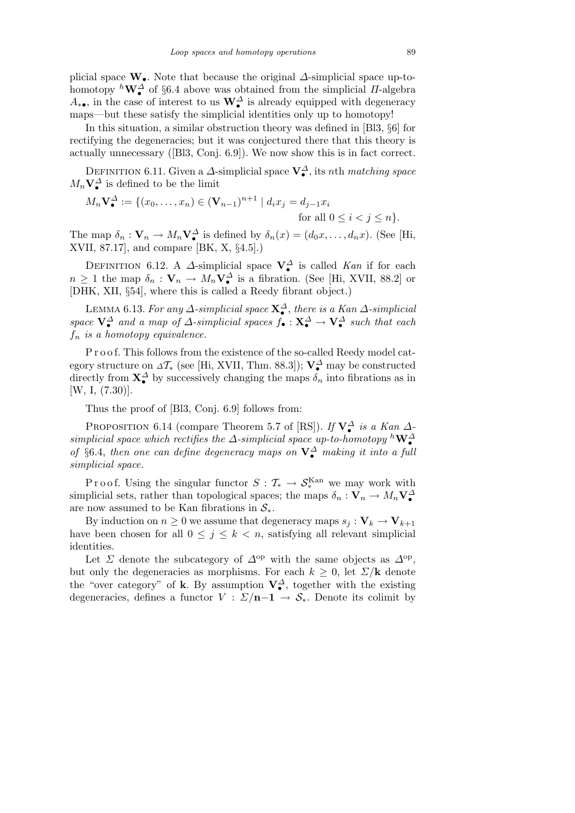plicial space **W***•*. Note that because the original *∆*-simplicial space up-tohomotopy  ${}^h\mathbf{W}^{\Delta}$  of §6.4 above was obtained from the simplicial *Π*-algebra  $A_{*•}$ , in the case of interest to us  $\mathbf{W}_{\bullet}^{\Delta}$  is already equipped with degeneracy maps—but these satisfy the simplicial identities only up to homotopy!

In this situation, a similar obstruction theory was defined in [Bl3, *§*6] for rectifying the degeneracies; but it was conjectured there that this theory is actually unnecessary ([Bl3, Conj. 6.9]). We now show this is in fact correct.

Definition 6.11. Given a *∆*-simplicial space **V***<sup>∆</sup> •* , its *n*th *matching space*  $M_n \mathbf{V}^{\Delta}$  is defined to be the limit

$$
M_n \mathbf{V}_{\bullet}^{\Delta} := \{ (x_0, \dots, x_n) \in (\mathbf{V}_{n-1})^{n+1} \mid d_i x_j = d_{j-1} x_i
$$
  
for all  $0 \le i < j \le n \}.$ 

The map  $\delta_n: \mathbf{V}_n \to M_n \mathbf{V}_\bullet^{\Delta}$  is defined by  $\delta_n(x) = (d_0 x, \dots, d_n x)$ . (See [Hi, XVII, 87.17], and compare [BK, X, *§*4.5].)

DEFINITION 6.12. A *∆*-simplicial space  $V^{\Delta}$  is called *Kan* if for each  $n \geq 1$  the map  $\delta_n : \mathbf{V}_n \to M_n \mathbf{V}^{\Delta}_{\bullet}$  is a fibration. (See [Hi, XVII, 88.2] or [DHK, XII, *§*54], where this is called a Reedy fibrant object.)

Lemma 6.13. *For any ∆-simplicial space* **X***<sup>∆</sup> •* , *there is a Kan ∆-simplicial space*  $V^{\Delta}$  *and a map of*  $\Delta$ *-simplicial spaces*  $f_{\bullet} : X^{\Delta}$   $\rightarrow V^{\Delta}$  *such that each f<sup>n</sup> is a homotopy equivalence.*

P r o o f. This follows from the existence of the so-called Reedy model category structure on *<sup>∆</sup>T<sup>∗</sup>* (see [Hi, XVII, Thm. 88.3]); **V***<sup>∆</sup> •* may be constructed directly from  $\mathbf{X}^{\Delta}$  by successively changing the maps  $\delta_n$  into fibrations as in [W, I, (7.30)].

Thus the proof of [Bl3, Conj. 6.9] follows from:

PROPOSITION 6.14 (compare Theorem 5.7 of [RS]). *If*  $V^{\Delta}$  *is a Kan*  $\Delta$ simplicial space which rectifies the  $\Delta$ -simplicial space up-to-homotopy  ${}^h\mathbf{W}_\bullet^{\Delta}$ <br>of §6.4, then one can define degeneracy maps on  $\mathbf{V}_\bullet^{\Delta}$  making it into a full *simplicial space.*

P r o o f. Using the singular functor  $S: \mathcal{T}_{*} \to \mathcal{S}_{*}^{\text{Kan}}$  we may work with simplicial sets, rather than topological spaces; the maps  $\delta_n : \mathbf{V}_n \to M_n \mathbf{V}^{\Delta}_{\bullet}$ are now assumed to be Kan fibrations in *S∗*.

By induction on  $n \geq 0$  we assume that degeneracy maps  $s_j : V_k \to V_{k+1}$ have been chosen for all  $0 \leq j \leq k < n$ , satisfying all relevant simplicial identities.

Let *Σ* denote the subcategory of  $\Delta^{\rm op}$  with the same objects as  $\Delta^{\rm op}$ , but only the degeneracies as morphisms. For each  $k \geq 0$ , let  $\sum / \mathbf{k}$  denote the "over category" of **k**. By assumption  $V^{\Delta}_{\bullet}$ , together with the existing degeneracies, defines a functor  $V : \Sigma/n-1 \to S_*$ . Denote its colimit by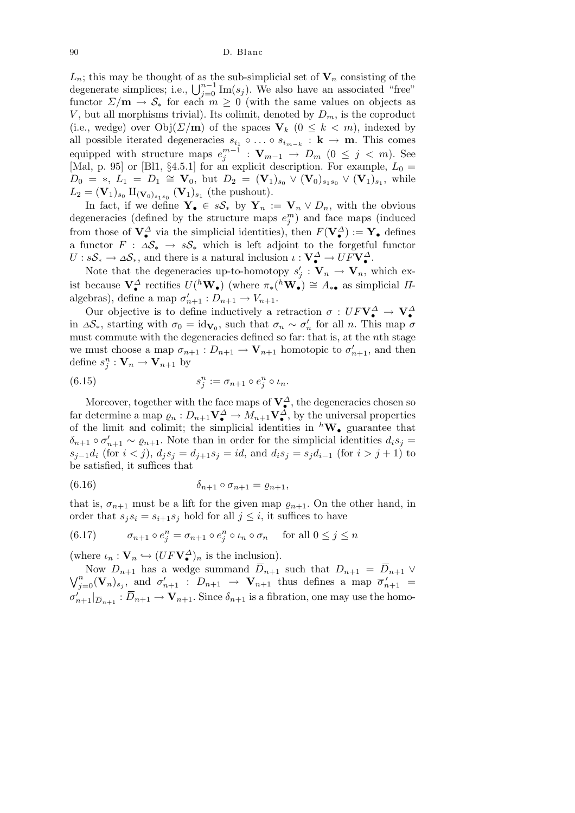90 D. Blanc

 $L_n$ ; this may be thought of as the sub-simplicial set of  $V_n$  consisting of the  $L_n$ ; this may be thought of as the sub-simplicial set of  $\mathbf{v}_n$  consisting of the degenerate simplices; i.e.,  $\bigcup_{j=0}^{n-1} \text{Im}(s_j)$ . We also have an associated "free" functor  $\sum/\mathbf{m} \to \mathcal{S}_*$  for each  $m \geq 0$  (with the same values on objects as *V*, but all morphisms trivial). Its colimit, denoted by  $D_m$ , is the coproduct (i.e., wedge) over  $Obj(\Sigma/m)$  of the spaces  $V_k$  ( $0 \leq k \leq m$ ), indexed by all possible iterated degeneracies  $s_{i_1} \circ \ldots \circ s_{i_{m-k}} : \mathbf{k} \to \mathbf{m}$ . This comes equipped with structure maps  $e_j^{m-1}$  :  $\mathbf{V}_{m-1} \to D_m$  (0  $\leq j \leq m$ ). See [Mal, p. 95] or [Bl1,  $\S 4.5.1$ ] for an explicit description. For example,  $L_0 =$  $D_0 = *, L_1 = D_1 \cong \mathbf{V}_0$ , but  $D_2 = (\mathbf{V}_1)_{s_0} \vee (\mathbf{V}_0)_{s_1 s_0} \vee (\mathbf{V}_1)_{s_1}$ , while  $L_2 = (\mathbf{V}_1)_{s_0} \amalg_{(\mathbf{V}_0)_{s_1s_0}} (\mathbf{V}_1)_{s_1}$  (the pushout).

In fact, if we define  $Y_{\bullet} \in sS_{\ast}$  by  $Y_n := V_n \vee D_n$ , with the obvious degeneracies (defined by the structure maps  $e_j^m$ ) and face maps (induced from those of  $V^{\Delta}$  via the simplicial identities), then  $F(V^{\Delta}) := Y$  defines a functor  $F : \Delta S^* \to sS^*$  which is left adjoint to the forgetful functor  $U : sS_* \to \Delta S_*,$  and there is a natural inclusion  $\iota : V^{\Delta}_\bullet \to UFV^{\Delta}_\bullet.$ 

Note that the degeneracies up-to-homotopy  $s'_{j}: \mathbf{V}_{n} \to \mathbf{V}_{n}$ , which exist because  $\mathbf{V}^{\Delta}_{\bullet}$  rectifies  $U({}^h\mathbf{W}_{\bullet})$  (where  $\pi_*({}^h\mathbf{W}_{\bullet}) \cong A_{* \bullet}$  as simplicial *Π*algebras), define a map  $\sigma'_{n+1} : D_{n+1} \to V_{n+1}.$ 

Our objective is to define inductively a retraction  $\sigma : UF\mathbf{V}_{\bullet}^{\Delta} \to \mathbf{V}_{\bullet}^{\Delta}$ in  $\Delta S_*$ , starting with  $\sigma_0 = id_{\mathbf{V}_0}$ , such that  $\sigma_n \sim \sigma'_n$  for all *n*. This map  $\sigma$ must commute with the degeneracies defined so far: that is, at the *n*th stage we must choose a map  $\sigma_{n+1}: D_{n+1} \to \mathbf{V}_{n+1}$  homotopic to  $\sigma'_{n+1}$ , and then define  $s_j^n : \mathbf{V}_n \to \mathbf{V}_{n+1}$  by

(6.15) 
$$
s_j^n := \sigma_{n+1} \circ e_j^n \circ \iota_n.
$$

Moreover, together with the face maps of  $V^{\Delta}_{\bullet}$ , the degeneracies chosen so far determine a map  $\varrho_n: D_{n+1} \mathbf{V}^{\Delta} \to M_{n+1} \mathbf{V}^{\Delta}$ , by the universal properties of the limit and colimit; the simplicial identities in *<sup>h</sup>***W***•* guarantee that  $\delta_{n+1} \circ \sigma'_{n+1} \sim \varrho_{n+1}$ . Note than in order for the simplicial identities  $d_i s_j =$  $s_{j-1}d_i$  (for  $i < j$ ),  $d_j s_j = d_{j+1} s_j = id$ , and  $d_i s_j = s_j d_{i-1}$  (for  $i > j+1$ ) to be satisfied, it suffices that

$$
(6.16) \qquad \delta_{n+1} \circ \sigma_{n+1} = \varrho_{n+1},
$$

that is,  $\sigma_{n+1}$  must be a lift for the given map  $\varrho_{n+1}$ . On the other hand, in order that  $s_j s_i = s_{i+1} s_j$  hold for all  $j \leq i$ , it suffices to have

(6.17) 
$$
\sigma_{n+1} \circ e_j^n = \sigma_{n+1} \circ e_j^n \circ \iota_n \circ \sigma_n \quad \text{ for all } 0 \le j \le n
$$

(where  $\iota_n : \mathbf{V}_n \hookrightarrow (UF\mathbf{V}^{\Delta}_{\bullet})_n$  is the inclusion).

Now  $D_{n+1}$  has a wedge summand  $\overline{D}_{n+1}$  such that  $D_{n+1} = \overline{D}_{n+1} \vee$  $\sqrt{n}$  $\sigma_{j=0}^n(\mathbf{V}_n)_{s_j}$ , and  $\sigma'_{n+1}$  :  $D_{n+1} \to \mathbf{V}_{n+1}$  thus defines a map  $\overline{\sigma}'_{n+1}$  =  $\sigma'_{n+1}|_{\overline{D}_{n+1}} : \overline{D}_{n+1} \to \mathbf{V}_{n+1}$ . Since  $\delta_{n+1}$  is a fibration, one may use the homo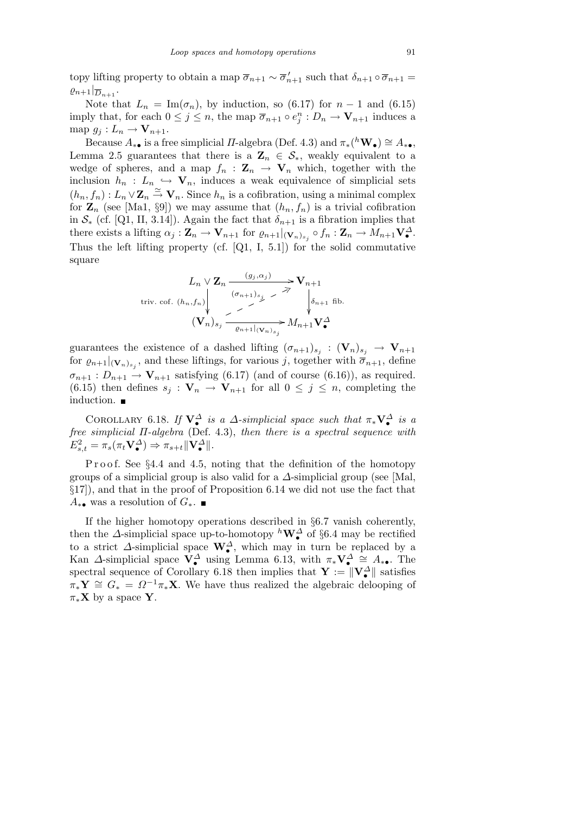topy lifting property to obtain a map  $\overline{\sigma}_{n+1} \sim \overline{\sigma}'_{n+1}$  such that  $\delta_{n+1} \circ \overline{\sigma}_{n+1} =$  $\varrho_{n+1}|_{\overline{D}_{n+1}}$ 

Note that  $L_n = \text{Im}(\sigma_n)$ , by induction, so (6.17) for  $n-1$  and (6.15) imply that, for each  $0 \leq j \leq n$ , the map  $\overline{\sigma}_{n+1} \circ e_j^n : D_n \to \mathbf{V}_{n+1}$  induces a map  $g_j: L_n \to \mathbf{V}_{n+1}$ .

Because  $A_{* \bullet}$  is a free simplicial *Π*-algebra (Def. 4.3) and  $\pi_*(h \mathbf{W}_{\bullet}) \cong A_{* \bullet}$ , Lemma 2.5 guarantees that there is a  $\mathbf{Z}_n \in \mathcal{S}_*$ , weakly equivalent to a wedge of spheres, and a map  $f_n$  :  $\mathbf{Z}_n \to \mathbf{V}_n$  which, together with the inclusion  $h_n$  :  $L_n \leftrightarrow \mathbf{V}_n$ , induces a weak equivalence of simplicial sets  $(h_n, f_n): L_n \vee \mathbb{Z}_n \stackrel{\simeq}{\to} \mathbf{V}_n$ . Since  $h_n$  is a cofibration, using a minimal complex for  $\mathbf{Z}_n$  (see [Ma1, §9]) we may assume that  $(h_n, f_n)$  is a trivial cofibration in  $S^*$  (cf. [Q1, II, 3.14]). Again the fact that  $\delta_{n+1}$  is a fibration implies that there exists a lifting  $\alpha_j : \mathbf{Z}_n \to \mathbf{V}_{n+1}$  for  $\varrho_{n+1}|_{(\mathbf{V}_n)_{s_j}} \circ f_n : \mathbf{Z}_n \to M_{n+1} \mathbf{V}_{\bullet}^{\Delta}$ . Thus the left lifting property (cf.  $[Q1, I, 5.1]$ ) for the solid commutative square

$$
L_n \vee \mathbf{Z}_n \xrightarrow{(g_j, \alpha_j)} \mathbf{V}_{n+1}
$$
  
triv. cof.  $(h_n, f_n)$ 
$$
\begin{array}{c}\n\downarrow \\
\downarrow \\
\downarrow \\
\mathbf{V}_n \rightarrow \mathbf{V}_n \\
\downarrow \\
\mathbf{V}_n \rightarrow \mathbf{V}_n \\
\downarrow \\
\mathbf{V}_n \rightarrow \mathbf{M}_{n+1} \mathbf{V}_\bullet^{\Delta}\n\end{array}
$$

guarantees the existence of a dashed lifting  $(\sigma_{n+1})_{s_j} : (\mathbf{V}_n)_{s_j} \to \mathbf{V}_{n+1}$ for  $\varrho_{n+1}|_{(\mathbf{V}_n)_{s_j}}$ , and these liftings, for various *j*, together with  $\overline{\sigma}_{n+1}$ , define  $\sigma_{n+1}: D_{n+1} \to \mathbf{V}_{n+1}$  satisfying (6.17) (and of course (6.16)), as required. (6.15) then defines  $s_j : \mathbf{V}_n \to \mathbf{V}_{n+1}$  for all  $0 \leq j \leq n$ , completing the induction.

COROLLARY 6.18. *If*  $V^{\Delta}$  *is a*  $\Delta$ -simplicial space such that  $\pi_* V^{\Delta}$  *is a free simplicial Π-algebra* (Def. 4.3), *then there is a spectral sequence with*  $E_{s,t}^2 = \pi_s(\pi_t \mathbf{V}^{\Delta}_{\bullet}) \Rightarrow \pi_{s+t} ||\mathbf{V}^{\Delta}_{\bullet}||.$ 

Proof. See §4.4 and 4.5, noting that the definition of the homotopy groups of a simplicial group is also valid for a  $\Delta$ -simplicial group (see [Mal, *§*17]), and that in the proof of Proposition 6.14 we did not use the fact that *A*<sup>∗•</sup> was a resolution of  $G$ <sup>\*</sup>

If the higher homotopy operations described in *§*6.7 vanish coherently, then the *∆*-simplicial space up-to-homotopy *<sup>h</sup>***W***<sup>∆</sup> •* of *§*6.4 may be rectified to a strict  $\Delta$ -simplicial space  $\mathbf{W}_{\bullet}^{\Delta}$ , which may in turn be replaced by a Kan  $\Delta$ -simplicial space  $\mathbf{V}_{\bullet}^{\Delta}$  using Lemma 6.13, with  $\pi_{*} \mathbf{V}_{\bullet}^{\Delta} \cong A_{* \bullet}$ . The spectral sequence of Corollary 6.18 then implies that  $\mathbf{Y} := \|\mathbf{V}^{\Delta}_{\bullet}\|$  satisfies  $\pi_* Y \cong G_* = \Omega^{-1} \pi_* X$ . We have thus realized the algebraic delooping of  $\pi_*\mathbf{X}$  by a space **Y**.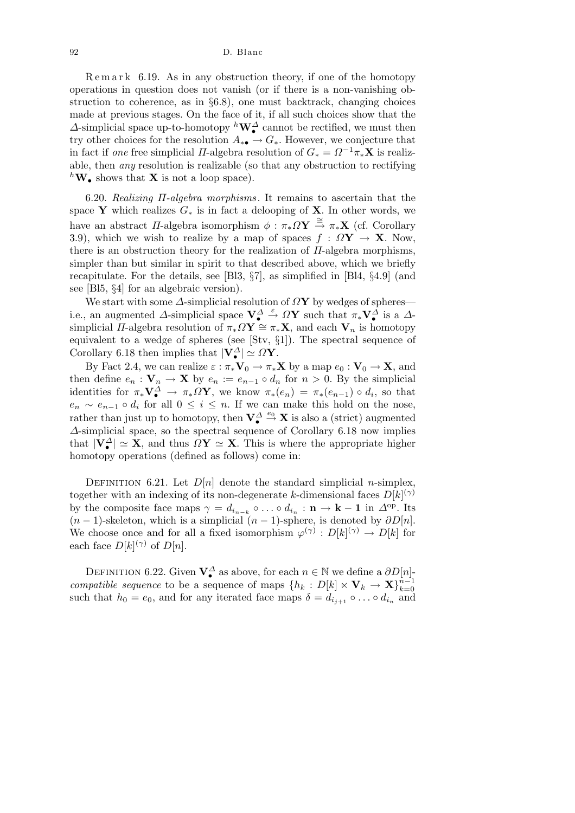$\text{Remar } k$  6.19. As in any obstruction theory, if one of the homotopy operations in question does not vanish (or if there is a non-vanishing obstruction to coherence, as in *§*6.8), one must backtrack, changing choices made at previous stages. On the face of it, if all such choices show that the *∆*-simplicial space up-to-homotopy *<sup>h</sup>***W***<sup>∆</sup> •* cannot be rectified, we must then try other choices for the resolution  $A_{* \bullet} \to G_*$ . However, we conjecture that in fact if *one* free simplicial *Π*-algebra resolution of  $G_* = \Omega^{-1} \pi_* \mathbf{X}$  is realizable, then *any* resolution is realizable (so that any obstruction to rectifying  ${}^h\mathbf{W}_\bullet$  shows that **X** is not a loop space).

6.20. *Realizing Π-algebra morphisms .* It remains to ascertain that the space **Y** which realizes  $G_*$  is in fact a delooping of **X**. In other words, we have an abstract *Π*-algebra isomorphism  $\phi : \pi_* \Omega Y \stackrel{\cong}{\to} \pi_* X$  (cf. Corollary 3.9), which we wish to realize by a map of spaces  $f : \Omega Y \to X$ . Now, there is an obstruction theory for the realization of *Π*-algebra morphisms, simpler than but similar in spirit to that described above, which we briefly recapitulate. For the details, see [Bl3, *§*7], as simplified in [Bl4, *§*4.9] (and see [Bl5, *§*4] for an algebraic version).

We start with some *∆*-simplicial resolution of *Ω***Y** by wedges of spheres i.e., an augmented  $\Delta$ -simplicial space  $V^{\Delta}_{\bullet} \stackrel{\varepsilon}{\to} \Omega Y$  such that  $\pi_* V^{\Delta}_{\bullet}$  is a  $\Delta$ simplicial *Π*-algebra resolution of  $\pi_* \Omega Y \cong \pi_* X$ , and each  $V_n$  is homotopy equivalent to a wedge of spheres (see [Stv, *§*1]). The spectral sequence of Corollary 6.18 then implies that  $|\mathbf{V}_{\bullet}^{\Delta}| \simeq \Omega \mathbf{Y}$ .

By Fact 2.4, we can realize  $\varepsilon : \pi_* \mathbf{V}_0 \to \pi_* \mathbf{X}$  by a map  $e_0 : \mathbf{V}_0 \to \mathbf{X}$ , and then define  $e_n: \mathbf{V}_n \to \mathbf{X}$  by  $e_n := e_{n-1} \circ d_n$  for  $n > 0$ . By the simplicial identities for  $\pi_* \mathbf{V}^{\Delta} \to \pi_* \Omega \mathbf{Y}$ , we know  $\pi_*(e_n) = \pi_*(e_{n-1}) \circ d_i$ , so that  $e_n \sim e_{n-1} \circ d_i$  for all  $0 \leq i \leq n$ . If we can make this hold on the nose, rather than just up to homotopy, then  $V^{\Delta} \stackrel{e_0}{\rightarrow} X$  is also a (strict) augmented *∆*-simplicial space, so the spectral sequence of Corollary 6.18 now implies that  $|\mathbf{V}^{\Delta}_{\bullet}| \simeq \mathbf{X}$ , and thus  $\Omega \mathbf{Y} \simeq \mathbf{X}$ . This is where the appropriate higher homotopy operations (defined as follows) come in:

DEFINITION 6.21. Let  $D[n]$  denote the standard simplicial *n*-simplex, together with an indexing of its non-degenerate *k*-dimensional faces  $D[k]^{(\gamma)}$ by the composite face maps  $\gamma = d_{i_{n-k}} \circ \ldots \circ d_{i_n} : \mathbf{n} \to \mathbf{k} - \mathbf{1}$  in  $\Delta^{\text{op}}$ . Its  $(n-1)$ -skeleton, which is a simplicial  $(n-1)$ -sphere, is denoted by  $\partial D[n]$ . We choose once and for all a fixed isomorphism  $\varphi^{(\gamma)} : D[k]^{(\gamma)} \to D[k]$  for each face  $D[k]^{(\gamma)}$  of  $D[n]$ .

DEFINITION 6.22. Given  $\mathbf{V}^{\Delta}$  as above, for each  $n \in \mathbb{N}$  we define a  $\partial D[n]$ *compatible sequence* to be a sequence of maps  $\{h_k: D[k] \times \mathbf{V}_k \to \mathbf{X}\}_{k=0}^{n-1}$ such that  $h_0 = e_0$ , and for any iterated face maps  $\delta = d_{i_{j+1}} \circ \dots \circ d_{i_n}$  and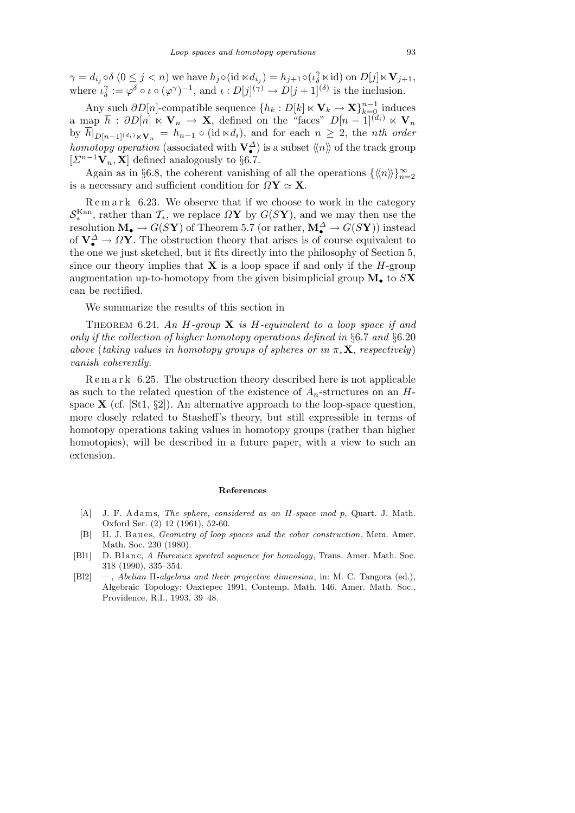$\gamma = d_{i_j} \circ \delta (0 \leq j < n)$  we have  $h_j \circ (\mathrm{id} \ltimes d_{i_j}) = h_{j+1} \circ (\iota_{\delta}^{\gamma} \ltimes \mathrm{id})$  on  $D[j] \ltimes \mathbf{V}_{j+1}$ , where  $i_{\delta}^{\gamma}$  $\hat{\phi} := \varphi^{\delta} \circ \iota \circ (\varphi^{\gamma})^{-1}$ , and  $\iota: D[j]^{(\gamma)} \to D[j+1]^{(\delta)}$  is the inclusion.

Any such  $\partial D[n]$ -compatible sequence  $\{h_k: D[k] \times \mathbf{V}_k \to \mathbf{X}\}_{k=0}^{n-1}$  induces  $\overline{h}$  a map  $\overline{h}$  :  $\partial D[n] \ltimes \mathbf{V}_n \to \mathbf{X}$ , defined on the "faces"  $D[n-1]^{(d_i)} \ltimes \mathbf{V}_n$  $\int_{D[n-1]^{(d_i)} \ltimes V_n} = h_{n-1} \circ (\text{id} \ltimes d_i),$  and for each  $n \geq 2$ , the *nth order homotopy operation* (associated with  $\mathbf{V}_{\bullet}^{\Delta}$ ) is a subset  $\langle\!\langle n \rangle\!\rangle$  of the track group  $[Σ<sup>n−1</sup>**V**<sub>n</sub>, **X**] defined analogously to §6.7.$ 

Again as in §6.8, the coherent vanishing of all the operations  $\{\langle n \rangle\}_{n=2}^{\infty}$ is a necessary and sufficient condition for  $\Omega$ **Y**  $\simeq$  **X**.

Remark 6.23. We observe that if we choose to work in the category  $S_*^{\text{Kan}}$ , rather than  $\mathcal{T}_*$ , we replace  $\Omega$ **Y** by  $G(S\mathbf{Y})$ , and we may then use the resolution  $\mathbf{M}_{\bullet} \to G(S\mathbf{Y})$  of Theorem 5.7 (or rather,  $\mathbf{M}_{\bullet}^{\Delta} \to G(S\mathbf{Y})$ ) instead of  $V^{\Delta}_{\bullet} \to \Omega Y$ . The obstruction theory that arises is of course equivalent to the one we just sketched, but it fits directly into the philosophy of Section 5, since our theory implies that **X** is a loop space if and only if the  $H$ -group augmentation up-to-homotopy from the given bisimplicial group **M***•* to *S***X** can be rectified.

We summarize the results of this section in

Theorem 6.24. *An H-group* **X** *is H-equivalent to a loop space if and only if the collection of higher homotopy operations defined in §*6.7 *and §*6.20 *above* (*taking values in homotopy groups of spheres or in π∗***X**, *respectively*) *vanish coherently.*

R e m a r k 6.25. The obstruction theory described here is not applicable as such to the related question of the existence of  $A_n$ -structures on an  $H$ space **X** (cf. [St1, *§*2]). An alternative approach to the loop-space question, more closely related to Stasheff's theory, but still expressible in terms of homotopy operations taking values in homotopy groups (rather than higher homotopies), will be described in a future paper, with a view to such an extension.

## **References**

- [A] J. F. Adams, *The sphere, considered as an H-space mod p, Quart. J. Math.* Oxford Ser. (2) 12 (1961), 52-60.
- [B] H. J. Baues, *Geometry of loop spaces and the cobar construction*, Mem. Amer. Math. Soc. 230 (1980).
- [Bl1] D. Blanc, *A Hurewicz spectral sequence for homology*, Trans. Amer. Math. Soc. 318 (1990), 335–354.
- [Bl2] —, *Abelian* Π*-algebras and their projective dimension*, in: M. C. Tangora (ed.), Algebraic Topology: Oaxtepec 1991, Contemp. Math. 146, Amer. Math. Soc., Providence, R.I., 1993, 39–48.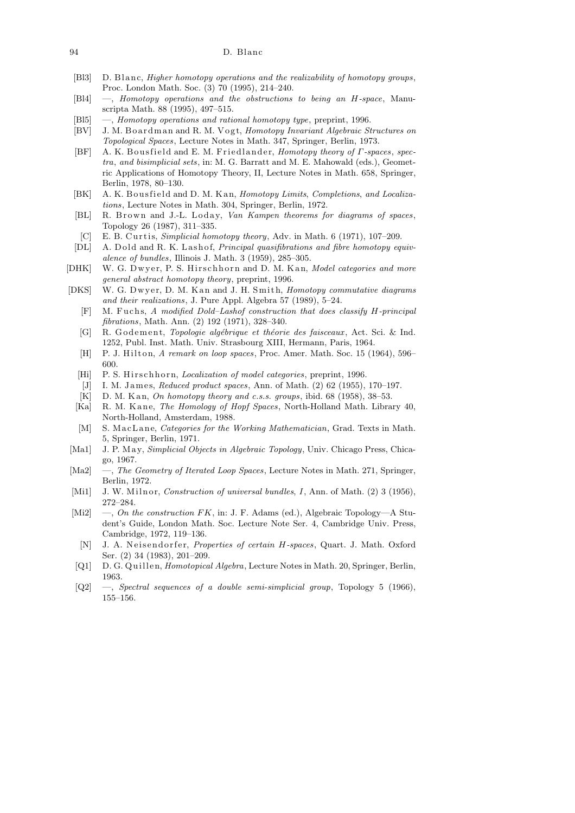## 94 D. Blanc

- [Bl3] D. Blanc, *Higher homotopy operations and the realizability of homotopy groups*, Proc. London Math. Soc. (3) 70 (1995), 214–240.
- [Bl4] —, *Homotopy operations and the obstructions to being an H-space*, Manuscripta Math. 88 (1995), 497–515.
- [Bl5] —, *Homotopy operations and rational homotopy type*, preprint, 1996.
- [BV] J. M. B o a r dm a n and R. M. V o g t, *Homotopy Invariant Algebraic Structures on Topological Spaces*, Lecture Notes in Math. 347, Springer, Berlin, 1973.
- [BF] A. K. Bousfield and E. M. Friedlander, *Homotopy theory of Γ-spaces*, *spectra*, *and bisimplicial sets*, in: M. G. Barratt and M. E. Mahowald (eds.), Geometric Applications of Homotopy Theory, II, Lecture Notes in Math. 658, Springer, Berlin, 1978, 80–130.
- [BK] A. K. Bousfield and D. M. K an, *Homotopy Limits, Completions, and Localizations*, Lecture Notes in Math. 304, Springer, Berlin, 1972.
- [BL] R. Brown and J.-L. Loday, *Van Kampen theorems for diagrams of spaces*, Topology 26 (1987), 311–335.
- [C] E. B. Curtis, *Simplicial homotopy theory*, Adv. in Math. 6 (1971), 107-209.
- [DL] A. Dold and R. K. Lashof, *Principal quasifibrations and fibre homotopy equivalence of bundles*, Illinois J. Math. 3 (1959), 285–305.
- [DHK] W. G. Dwyer, P. S. Hirschhorn and D. M. Kan, *Model categories and more general abstract homotopy theory*, preprint, 1996.
- [DKS] W. G. Dwyer, D. M. Kan and J. H. Smith, *Homotopy commutative diagrams and their realizations*, J. Pure Appl. Algebra 57 (1989), 5–24.
	- [F] M. Fuchs, *A modified Dold-Lashof construction that does classify H-principal fibrations*, Math. Ann. (2) 192 (1971), 328–340.
	- [G] R. Godement, *Topologie algébrique et théorie des faisceaux*, Act. Sci. & Ind. 1252, Publ. Inst. Math. Univ. Strasbourg XIII, Hermann, Paris, 1964.
	- [H] P. J. Hilton, *A remark on loop spaces*, Proc. Amer. Math. Soc. 15 (1964), 596– 600.
	- [Hi] P. S. Hirschhorn, *Localization of model categories*, preprint, 1996.
	- [J] I. M. James, *Reduced product spaces*, Ann. of Math. (2) 62 (1955), 170-197.
	- [K] D. M. K an, *On homotopy theory and c.s.s. groups*, ibid. 68 (1958), 38-53.
	- [Ka] R. M. Kane, *The Homology of Hopf Spaces*, North-Holland Math. Library 40, North-Holland, Amsterdam, 1988.
	- [M] S. MacLane, *Categories for the Working Mathematician*, Grad. Texts in Math. 5, Springer, Berlin, 1971.
- [Ma1] J. P. M a y, *Simplicial Objects in Algebraic Topology*, Univ. Chicago Press, Chicago, 1967.
- [Ma2] —, *The Geometry of Iterated Loop Spaces*, Lecture Notes in Math. 271, Springer, Berlin, 1972.
- [Mi1] J. W. Milnor, *Construction of universal bundles*, *I*, Ann. of Math. (2) 3 (1956), 272–284.
- [Mi2] —, *On the construction FK*, in: J. F. Adams (ed.), Algebraic Topology—A Student's Guide, London Math. Soc. Lecture Note Ser. 4, Cambridge Univ. Press, Cambridge, 1972, 119–136.
	- [N] J. A. Neisendorfer, *Properties of certain H-spaces*, Quart. J. Math. Oxford Ser. (2) 34 (1983), 201–209.
- [Q1] D. G. Quillen, *Homotopical Algebra*, Lecture Notes in Math. 20, Springer, Berlin, 1963.
- [Q2] —, *Spectral sequences of a double semi-simplicial group*, Topology 5 (1966), 155–156.